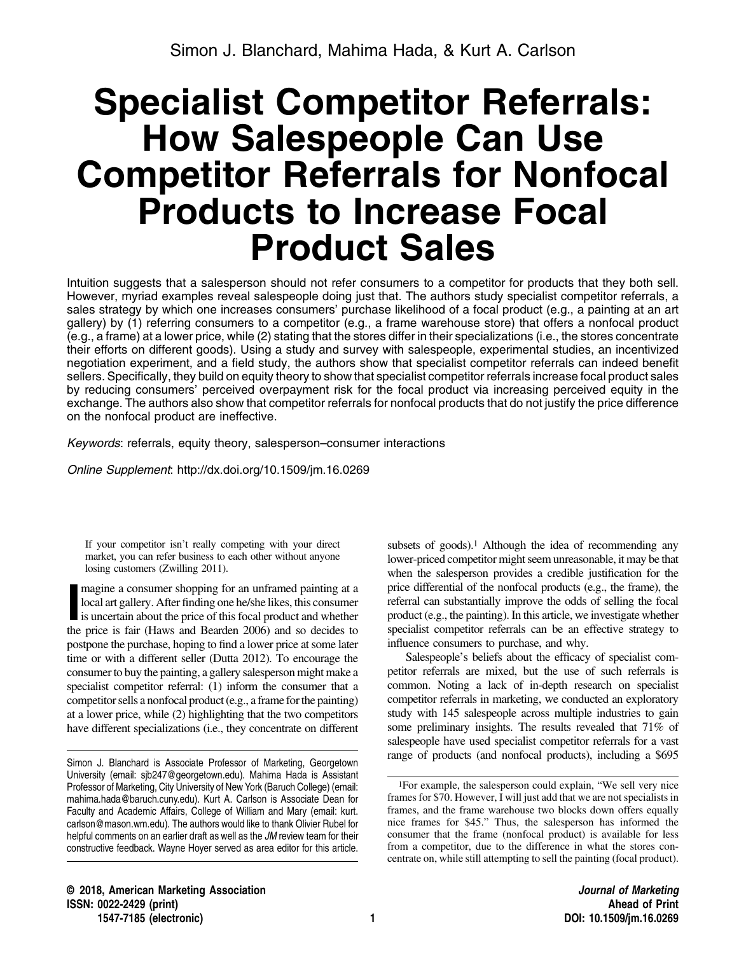# Specialist Competitor Referrals: How Salespeople Can Use Competitor Referrals for Nonfocal Products to Increase Focal Product Sales

Intuition suggests that a salesperson should not refer consumers to a competitor for products that they both sell. However, myriad examples reveal salespeople doing just that. The authors study specialist competitor referrals, a sales strategy by which one increases consumers' purchase likelihood of a focal product (e.g., a painting at an art gallery) by (1) referring consumers to a competitor (e.g., a frame warehouse store) that offers a nonfocal product (e.g., a frame) at a lower price, while (2) stating that the stores differ in their specializations (i.e., the stores concentrate their efforts on different goods). Using a study and survey with salespeople, experimental studies, an incentivized negotiation experiment, and a field study, the authors show that specialist competitor referrals can indeed benefit sellers. Specifically, they build on equity theory to show that specialist competitor referrals increase focal product sales by reducing consumers' perceived overpayment risk for the focal product via increasing perceived equity in the exchange. The authors also show that competitor referrals for nonfocal products that do not justify the price difference on the nonfocal product are ineffective.

Keywords: referrals, equity theory, salesperson–consumer interactions

Online Supplement:<http://dx.doi.org/10.1509/jm.16.0269>

If your competitor isn't really competing with your direct market, you can refer business to each other without anyone losing customers (Zwilling 2011).

magine a consumer shopping for an unframed painting at a local art gallery. After finding one he/she likes, this consumer is uncertain about the price of this focal product and whether the price is fair (Haws and Bearden 2 magine a consumer shopping for an unframed painting at a local art gallery. After finding one he/she likes, this consumer is uncertain about the price of this focal product and whether postpone the purchase, hoping to find a lower price at some later time or with a different seller (Dutta 2012). To encourage the consumer to buy the painting, a gallery salesperson might make a specialist competitor referral: (1) inform the consumer that a competitor sells a nonfocal product (e.g., a frame for the painting) at a lower price, while (2) highlighting that the two competitors have different specializations (i.e., they concentrate on different

University (email: [sjb247@georgetown.edu\)](mailto:sjb247@georgetown.edu). Mahima Hada is Assistant Professor of Marketing, City University of New York (Baruch College) (email: [mahima.hada@baruch.cuny.edu\)](mailto:mahima.hada@baruch.cuny.edu). Kurt A. Carlson is Associate Dean for Faculty and Academic Affairs, College of William and Mary (email: [kurt.](mailto:kurt.carlson@mason.wm.edu) [carlson@mason.wm.edu](mailto:kurt.carlson@mason.wm.edu)). The authors would like to thank Olivier Rubel for helpful comments on an earlier draft as well as the JM review team for their constructive feedback. Wayne Hoyer served as area editor for this article.

subsets of goods).<sup>1</sup> Although the idea of recommending any lower-priced competitor might seem unreasonable, it may be that when the salesperson provides a credible justification for the price differential of the nonfocal products (e.g., the frame), the referral can substantially improve the odds of selling the focal product (e.g., the painting). In this article, we investigate whether specialist competitor referrals can be an effective strategy to influence consumers to purchase, and why.

Salespeople's beliefs about the efficacy of specialist competitor referrals are mixed, but the use of such referrals is common. Noting a lack of in-depth research on specialist competitor referrals in marketing, we conducted an exploratory study with 145 salespeople across multiple industries to gain some preliminary insights. The results revealed that 71% of salespeople have used specialist competitor referrals for a vast range of products (and nonfocal products), including a \$695 Simon J. Blanchard is Associate Professor of Marketing, Georgetown

<sup>1</sup>For example, the salesperson could explain, "We sell very nice frames for \$70. However, I will just add that we are not specialists in frames, and the frame warehouse two blocks down offers equally nice frames for \$45." Thus, the salesperson has informed the consumer that the frame (nonfocal product) is available for less from a competitor, due to the difference in what the stores concentrate on, while still attempting to sell the painting (focal product).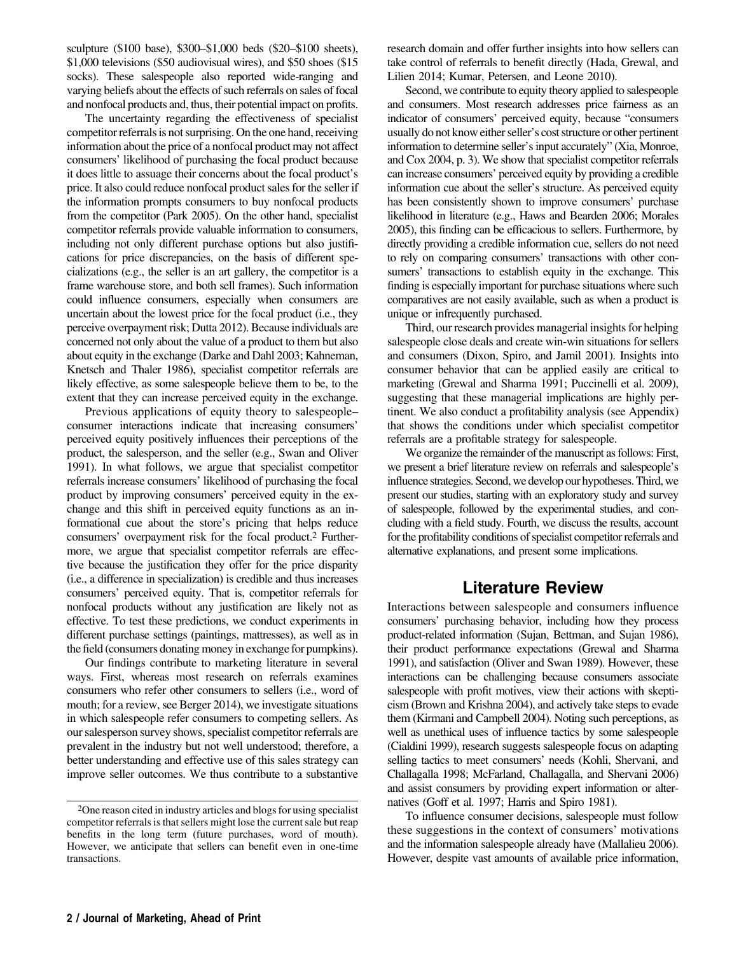sculpture (\$100 base), \$300–\$1,000 beds (\$20–\$100 sheets), \$1,000 televisions (\$50 audiovisual wires), and \$50 shoes (\$15 socks). These salespeople also reported wide-ranging and varying beliefs about the effects of such referrals on sales of focal and nonfocal products and, thus, their potential impact on profits.

The uncertainty regarding the effectiveness of specialist competitor referrals is not surprising. On the one hand, receiving information about the price of a nonfocal product may not affect consumers' likelihood of purchasing the focal product because it does little to assuage their concerns about the focal product's price. It also could reduce nonfocal product sales for the seller if the information prompts consumers to buy nonfocal products from the competitor (Park 2005). On the other hand, specialist competitor referrals provide valuable information to consumers, including not only different purchase options but also justifications for price discrepancies, on the basis of different specializations (e.g., the seller is an art gallery, the competitor is a frame warehouse store, and both sell frames). Such information could influence consumers, especially when consumers are uncertain about the lowest price for the focal product (i.e., they perceive overpayment risk; Dutta 2012). Because individuals are concerned not only about the value of a product to them but also about equity in the exchange (Darke and Dahl 2003; Kahneman, Knetsch and Thaler 1986), specialist competitor referrals are likely effective, as some salespeople believe them to be, to the extent that they can increase perceived equity in the exchange.

Previous applications of equity theory to salespeople– consumer interactions indicate that increasing consumers' perceived equity positively influences their perceptions of the product, the salesperson, and the seller (e.g., Swan and Oliver 1991). In what follows, we argue that specialist competitor referrals increase consumers' likelihood of purchasing the focal product by improving consumers' perceived equity in the exchange and this shift in perceived equity functions as an informational cue about the store's pricing that helps reduce consumers' overpayment risk for the focal product.2 Furthermore, we argue that specialist competitor referrals are effective because the justification they offer for the price disparity (i.e., a difference in specialization) is credible and thus increases consumers' perceived equity. That is, competitor referrals for nonfocal products without any justification are likely not as effective. To test these predictions, we conduct experiments in different purchase settings (paintings, mattresses), as well as in the field (consumers donating money in exchange for pumpkins).

Our findings contribute to marketing literature in several ways. First, whereas most research on referrals examines consumers who refer other consumers to sellers (i.e., word of mouth; for a review, see Berger 2014), we investigate situations in which salespeople refer consumers to competing sellers. As our salesperson survey shows, specialist competitor referrals are prevalent in the industry but not well understood; therefore, a better understanding and effective use of this sales strategy can improve seller outcomes. We thus contribute to a substantive

research domain and offer further insights into how sellers can take control of referrals to benefit directly (Hada, Grewal, and Lilien 2014; Kumar, Petersen, and Leone 2010).

Second, we contribute to equity theory applied to salespeople and consumers. Most research addresses price fairness as an indicator of consumers' perceived equity, because "consumers usually do not know either seller's cost structure or other pertinent information to determine seller's input accurately" (Xia, Monroe, and Cox 2004, p. 3). We show that specialist competitor referrals can increase consumers' perceived equity by providing a credible information cue about the seller's structure. As perceived equity has been consistently shown to improve consumers' purchase likelihood in literature (e.g., Haws and Bearden 2006; Morales 2005), this finding can be efficacious to sellers. Furthermore, by directly providing a credible information cue, sellers do not need to rely on comparing consumers' transactions with other consumers' transactions to establish equity in the exchange. This finding is especially important for purchase situations where such comparatives are not easily available, such as when a product is unique or infrequently purchased.

Third, our research provides managerial insights for helping salespeople close deals and create win-win situations for sellers and consumers (Dixon, Spiro, and Jamil 2001). Insights into consumer behavior that can be applied easily are critical to marketing (Grewal and Sharma 1991; Puccinelli et al. 2009), suggesting that these managerial implications are highly pertinent. We also conduct a profitability analysis (see Appendix) that shows the conditions under which specialist competitor referrals are a profitable strategy for salespeople.

We organize the remainder of the manuscript as follows: First, we present a brief literature review on referrals and salespeople's influence strategies. Second, we develop our hypotheses. Third, we present our studies, starting with an exploratory study and survey of salespeople, followed by the experimental studies, and concluding with a field study. Fourth, we discuss the results, account for the profitability conditions of specialist competitor referrals and alternative explanations, and present some implications.

## Literature Review

Interactions between salespeople and consumers influence consumers' purchasing behavior, including how they process product-related information (Sujan, Bettman, and Sujan 1986), their product performance expectations (Grewal and Sharma 1991), and satisfaction (Oliver and Swan 1989). However, these interactions can be challenging because consumers associate salespeople with profit motives, view their actions with skepticism (Brown and Krishna 2004), and actively take steps to evade them (Kirmani and Campbell 2004). Noting such perceptions, as well as unethical uses of influence tactics by some salespeople (Cialdini 1999), research suggests salespeople focus on adapting selling tactics to meet consumers' needs (Kohli, Shervani, and Challagalla 1998; McFarland, Challagalla, and Shervani 2006) and assist consumers by providing expert information or alternatives (Goff et al. 1997; Harris and Spiro 1981).

To influence consumer decisions, salespeople must follow these suggestions in the context of consumers' motivations and the information salespeople already have (Mallalieu 2006). However, despite vast amounts of available price information,

<sup>2</sup>One reason cited in industry articles and blogs for using specialist competitor referrals is that sellers might lose the current sale but reap benefits in the long term (future purchases, word of mouth). However, we anticipate that sellers can benefit even in one-time transactions.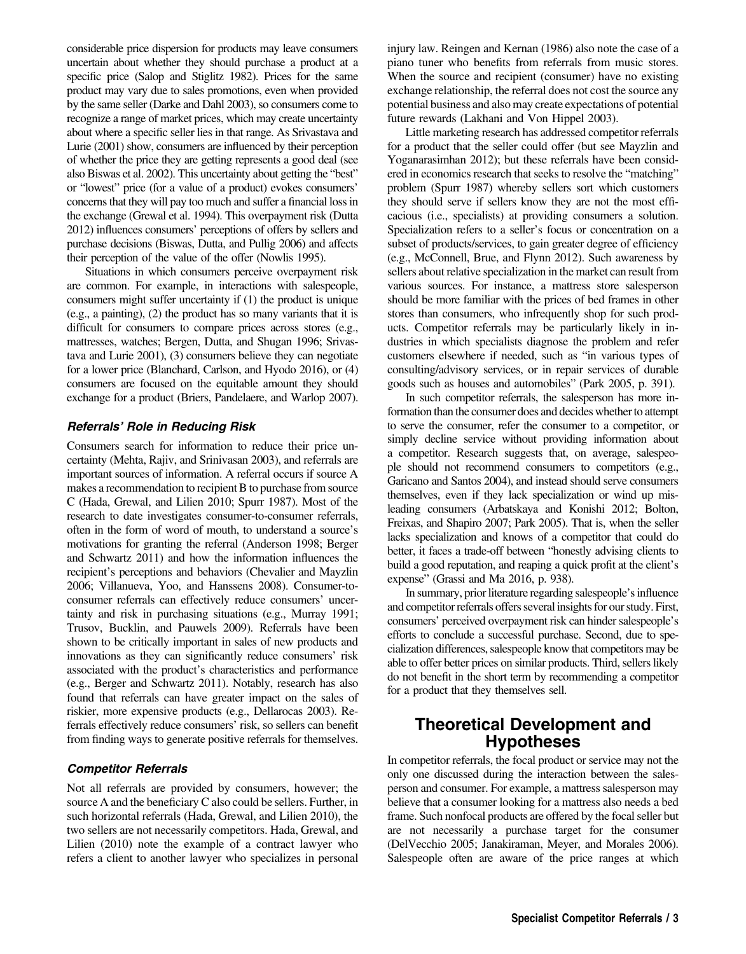considerable price dispersion for products may leave consumers uncertain about whether they should purchase a product at a specific price (Salop and Stiglitz 1982). Prices for the same product may vary due to sales promotions, even when provided by the same seller (Darke and Dahl 2003), so consumers come to recognize a range of market prices, which may create uncertainty about where a specific seller lies in that range. As Srivastava and Lurie (2001) show, consumers are influenced by their perception of whether the price they are getting represents a good deal (see also Biswas et al. 2002). This uncertainty about getting the "best" or "lowest" price (for a value of a product) evokes consumers' concerns that they will pay too much and suffer a financial loss in the exchange (Grewal et al. 1994). This overpayment risk (Dutta 2012) influences consumers' perceptions of offers by sellers and purchase decisions (Biswas, Dutta, and Pullig 2006) and affects their perception of the value of the offer (Nowlis 1995).

Situations in which consumers perceive overpayment risk are common. For example, in interactions with salespeople, consumers might suffer uncertainty if (1) the product is unique (e.g., a painting), (2) the product has so many variants that it is difficult for consumers to compare prices across stores (e.g., mattresses, watches; Bergen, Dutta, and Shugan 1996; Srivastava and Lurie 2001), (3) consumers believe they can negotiate for a lower price (Blanchard, Carlson, and Hyodo 2016), or (4) consumers are focused on the equitable amount they should exchange for a product (Briers, Pandelaere, and Warlop 2007).

#### Referrals' Role in Reducing Risk

Consumers search for information to reduce their price uncertainty (Mehta, Rajiv, and Srinivasan 2003), and referrals are important sources of information. A referral occurs if source A makes a recommendation to recipient B to purchase from source C (Hada, Grewal, and Lilien 2010; Spurr 1987). Most of the research to date investigates consumer-to-consumer referrals, often in the form of word of mouth, to understand a source's motivations for granting the referral (Anderson 1998; Berger and Schwartz 2011) and how the information influences the recipient's perceptions and behaviors (Chevalier and Mayzlin 2006; Villanueva, Yoo, and Hanssens 2008). Consumer-toconsumer referrals can effectively reduce consumers' uncertainty and risk in purchasing situations (e.g., Murray 1991; Trusov, Bucklin, and Pauwels 2009). Referrals have been shown to be critically important in sales of new products and innovations as they can significantly reduce consumers' risk associated with the product's characteristics and performance (e.g., Berger and Schwartz 2011). Notably, research has also found that referrals can have greater impact on the sales of riskier, more expensive products (e.g., Dellarocas 2003). Referrals effectively reduce consumers' risk, so sellers can benefit from finding ways to generate positive referrals for themselves.

#### Competitor Referrals

Not all referrals are provided by consumers, however; the source A and the beneficiary C also could be sellers. Further, in such horizontal referrals (Hada, Grewal, and Lilien 2010), the two sellers are not necessarily competitors. Hada, Grewal, and Lilien (2010) note the example of a contract lawyer who refers a client to another lawyer who specializes in personal injury law. Reingen and Kernan (1986) also note the case of a piano tuner who benefits from referrals from music stores. When the source and recipient (consumer) have no existing exchange relationship, the referral does not cost the source any potential business and also may create expectations of potential future rewards (Lakhani and Von Hippel 2003).

Little marketing research has addressed competitor referrals for a product that the seller could offer (but see Mayzlin and Yoganarasimhan 2012); but these referrals have been considered in economics research that seeks to resolve the "matching" problem (Spurr 1987) whereby sellers sort which customers they should serve if sellers know they are not the most efficacious (i.e., specialists) at providing consumers a solution. Specialization refers to a seller's focus or concentration on a subset of products/services, to gain greater degree of efficiency (e.g., McConnell, Brue, and Flynn 2012). Such awareness by sellers about relative specialization in the market can result from various sources. For instance, a mattress store salesperson should be more familiar with the prices of bed frames in other stores than consumers, who infrequently shop for such products. Competitor referrals may be particularly likely in industries in which specialists diagnose the problem and refer customers elsewhere if needed, such as "in various types of consulting/advisory services, or in repair services of durable goods such as houses and automobiles" (Park 2005, p. 391).

In such competitor referrals, the salesperson has more information than the consumer does and decides whether to attempt to serve the consumer, refer the consumer to a competitor, or simply decline service without providing information about a competitor. Research suggests that, on average, salespeople should not recommend consumers to competitors (e.g., Garicano and Santos 2004), and instead should serve consumers themselves, even if they lack specialization or wind up misleading consumers (Arbatskaya and Konishi 2012; Bolton, Freixas, and Shapiro 2007; Park 2005). That is, when the seller lacks specialization and knows of a competitor that could do better, it faces a trade-off between "honestly advising clients to build a good reputation, and reaping a quick profit at the client's expense" (Grassi and Ma 2016, p. 938).

In summary, prior literature regarding salespeople's influence and competitor referrals offers several insights for our study. First, consumers' perceived overpayment risk can hinder salespeople's efforts to conclude a successful purchase. Second, due to specialization differences, salespeople know that competitors may be able to offer better prices on similar products. Third, sellers likely do not benefit in the short term by recommending a competitor for a product that they themselves sell.

# Theoretical Development and Hypotheses

In competitor referrals, the focal product or service may not the only one discussed during the interaction between the salesperson and consumer. For example, a mattress salesperson may believe that a consumer looking for a mattress also needs a bed frame. Such nonfocal products are offered by the focal seller but are not necessarily a purchase target for the consumer (DelVecchio 2005; Janakiraman, Meyer, and Morales 2006). Salespeople often are aware of the price ranges at which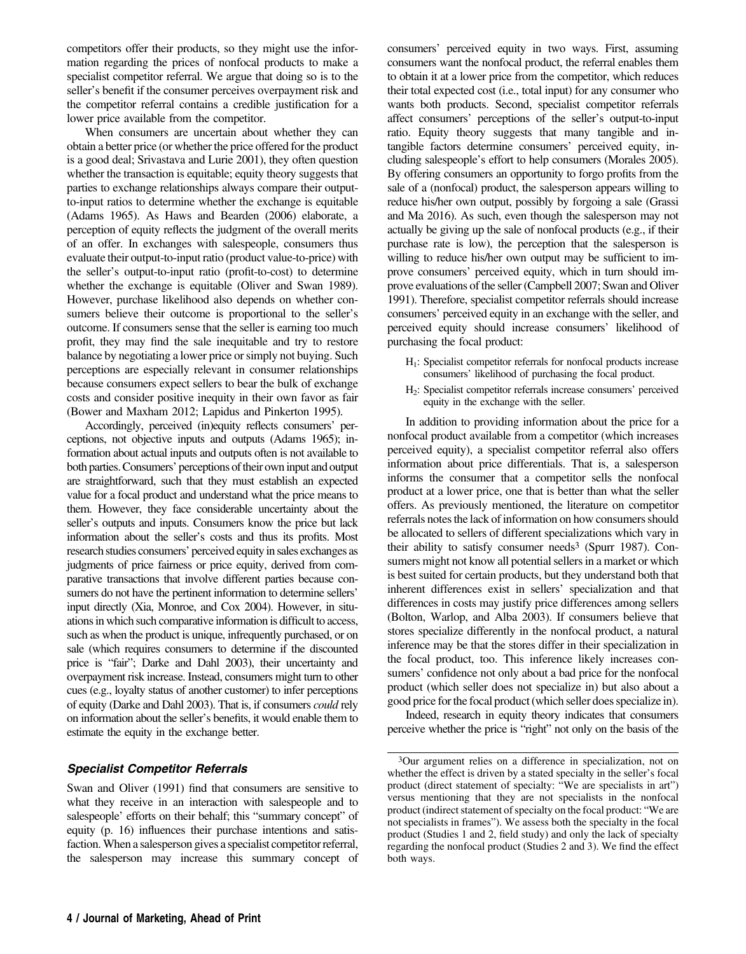competitors offer their products, so they might use the information regarding the prices of nonfocal products to make a specialist competitor referral. We argue that doing so is to the seller's benefit if the consumer perceives overpayment risk and the competitor referral contains a credible justification for a lower price available from the competitor.

When consumers are uncertain about whether they can obtain a better price (or whether the price offered for the product is a good deal; Srivastava and Lurie 2001), they often question whether the transaction is equitable; equity theory suggests that parties to exchange relationships always compare their outputto-input ratios to determine whether the exchange is equitable (Adams 1965). As Haws and Bearden (2006) elaborate, a perception of equity reflects the judgment of the overall merits of an offer. In exchanges with salespeople, consumers thus evaluate their output-to-input ratio (product value-to-price) with the seller's output-to-input ratio (profit-to-cost) to determine whether the exchange is equitable (Oliver and Swan 1989). However, purchase likelihood also depends on whether consumers believe their outcome is proportional to the seller's outcome. If consumers sense that the seller is earning too much profit, they may find the sale inequitable and try to restore balance by negotiating a lower price or simply not buying. Such perceptions are especially relevant in consumer relationships because consumers expect sellers to bear the bulk of exchange costs and consider positive inequity in their own favor as fair (Bower and Maxham 2012; Lapidus and Pinkerton 1995).

Accordingly, perceived (in)equity reflects consumers' perceptions, not objective inputs and outputs (Adams 1965); information about actual inputs and outputs often is not available to both parties. Consumers' perceptions of their own input and output are straightforward, such that they must establish an expected value for a focal product and understand what the price means to them. However, they face considerable uncertainty about the seller's outputs and inputs. Consumers know the price but lack information about the seller's costs and thus its profits. Most research studies consumers' perceived equity in sales exchanges as judgments of price fairness or price equity, derived from comparative transactions that involve different parties because consumers do not have the pertinent information to determine sellers' input directly (Xia, Monroe, and Cox 2004). However, in situations in which such comparative information is difficult to access, such as when the product is unique, infrequently purchased, or on sale (which requires consumers to determine if the discounted price is "fair"; Darke and Dahl 2003), their uncertainty and overpayment risk increase. Instead, consumers might turn to other cues (e.g., loyalty status of another customer) to infer perceptions of equity (Darke and Dahl 2003). That is, if consumers could rely on information about the seller's benefits, it would enable them to estimate the equity in the exchange better.

#### Specialist Competitor Referrals

Swan and Oliver (1991) find that consumers are sensitive to what they receive in an interaction with salespeople and to salespeople' efforts on their behalf; this "summary concept" of equity (p. 16) influences their purchase intentions and satisfaction.When a salesperson gives a specialist competitor referral, the salesperson may increase this summary concept of consumers' perceived equity in two ways. First, assuming consumers want the nonfocal product, the referral enables them to obtain it at a lower price from the competitor, which reduces their total expected cost (i.e., total input) for any consumer who wants both products. Second, specialist competitor referrals affect consumers' perceptions of the seller's output-to-input ratio. Equity theory suggests that many tangible and intangible factors determine consumers' perceived equity, including salespeople's effort to help consumers (Morales 2005). By offering consumers an opportunity to forgo profits from the sale of a (nonfocal) product, the salesperson appears willing to reduce his/her own output, possibly by forgoing a sale (Grassi and Ma 2016). As such, even though the salesperson may not actually be giving up the sale of nonfocal products (e.g., if their purchase rate is low), the perception that the salesperson is willing to reduce his/her own output may be sufficient to improve consumers' perceived equity, which in turn should improve evaluations of the seller (Campbell 2007; Swan and Oliver 1991). Therefore, specialist competitor referrals should increase consumers' perceived equity in an exchange with the seller, and perceived equity should increase consumers' likelihood of purchasing the focal product:

- H1: Specialist competitor referrals for nonfocal products increase consumers' likelihood of purchasing the focal product.
- H2: Specialist competitor referrals increase consumers' perceived equity in the exchange with the seller.

In addition to providing information about the price for a nonfocal product available from a competitor (which increases perceived equity), a specialist competitor referral also offers information about price differentials. That is, a salesperson informs the consumer that a competitor sells the nonfocal product at a lower price, one that is better than what the seller offers. As previously mentioned, the literature on competitor referrals notes the lack of information on how consumers should be allocated to sellers of different specializations which vary in their ability to satisfy consumer needs<sup>3</sup> (Spurr 1987). Consumers might not know all potential sellers in a market or which is best suited for certain products, but they understand both that inherent differences exist in sellers' specialization and that differences in costs may justify price differences among sellers (Bolton, Warlop, and Alba 2003). If consumers believe that stores specialize differently in the nonfocal product, a natural inference may be that the stores differ in their specialization in the focal product, too. This inference likely increases consumers' confidence not only about a bad price for the nonfocal product (which seller does not specialize in) but also about a good price for the focal product (which seller does specialize in).

Indeed, research in equity theory indicates that consumers perceive whether the price is "right" not only on the basis of the

<sup>3</sup>Our argument relies on a difference in specialization, not on whether the effect is driven by a stated specialty in the seller's focal product (direct statement of specialty: "We are specialists in art") versus mentioning that they are not specialists in the nonfocal product (indirect statement of specialty on the focal product: "We are not specialists in frames"). We assess both the specialty in the focal product (Studies 1 and 2, field study) and only the lack of specialty regarding the nonfocal product (Studies 2 and 3). We find the effect both ways.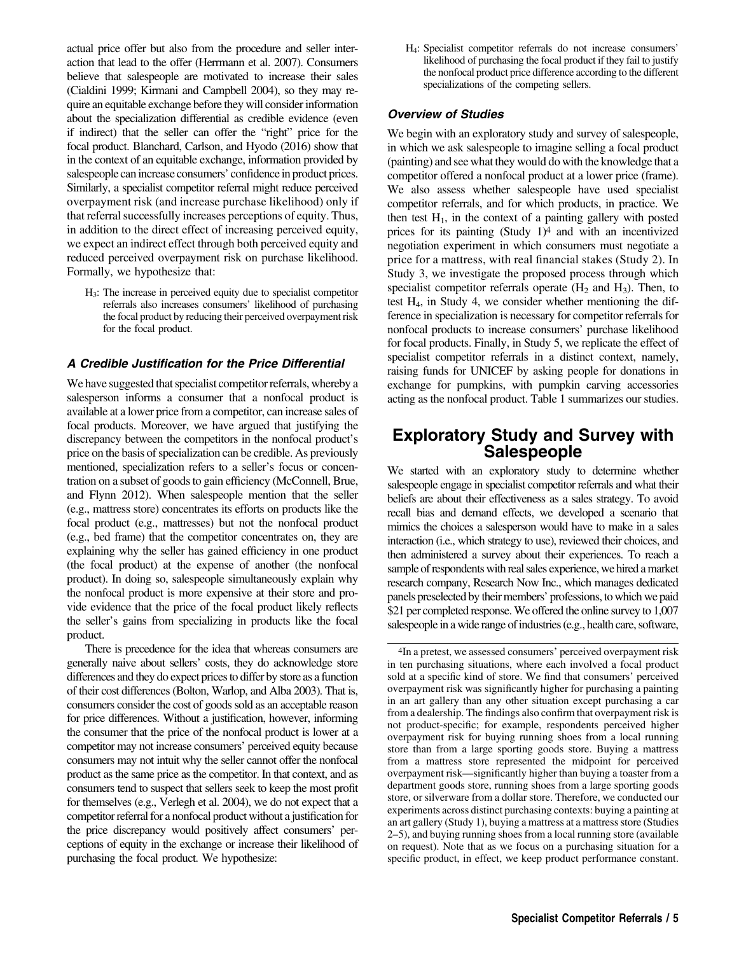actual price offer but also from the procedure and seller interaction that lead to the offer (Herrmann et al. 2007). Consumers believe that salespeople are motivated to increase their sales (Cialdini 1999; Kirmani and Campbell 2004), so they may require an equitable exchange before they will consider information about the specialization differential as credible evidence (even if indirect) that the seller can offer the "right" price for the focal product. Blanchard, Carlson, and Hyodo (2016) show that in the context of an equitable exchange, information provided by salespeople can increase consumers' confidence in product prices. Similarly, a specialist competitor referral might reduce perceived overpayment risk (and increase purchase likelihood) only if that referral successfully increases perceptions of equity. Thus, in addition to the direct effect of increasing perceived equity, we expect an indirect effect through both perceived equity and reduced perceived overpayment risk on purchase likelihood. Formally, we hypothesize that:

H3: The increase in perceived equity due to specialist competitor referrals also increases consumers' likelihood of purchasing the focal product by reducing their perceived overpayment risk for the focal product.

#### A Credible Justification for the Price Differential

We have suggested that specialist competitor referrals, whereby a salesperson informs a consumer that a nonfocal product is available at a lower price from a competitor, can increase sales of focal products. Moreover, we have argued that justifying the discrepancy between the competitors in the nonfocal product's price on the basis of specialization can be credible. As previously mentioned, specialization refers to a seller's focus or concentration on a subset of goods to gain efficiency (McConnell, Brue, and Flynn 2012). When salespeople mention that the seller (e.g., mattress store) concentrates its efforts on products like the focal product (e.g., mattresses) but not the nonfocal product (e.g., bed frame) that the competitor concentrates on, they are explaining why the seller has gained efficiency in one product (the focal product) at the expense of another (the nonfocal product). In doing so, salespeople simultaneously explain why the nonfocal product is more expensive at their store and provide evidence that the price of the focal product likely reflects the seller's gains from specializing in products like the focal product.

There is precedence for the idea that whereas consumers are generally naive about sellers' costs, they do acknowledge store differences and they do expect prices to differ by store as a function of their cost differences (Bolton, Warlop, and Alba 2003). That is, consumers consider the cost of goods sold as an acceptable reason for price differences. Without a justification, however, informing the consumer that the price of the nonfocal product is lower at a competitor may not increase consumers' perceived equity because consumers may not intuit why the seller cannot offer the nonfocal product as the same price as the competitor. In that context, and as consumers tend to suspect that sellers seek to keep the most profit for themselves (e.g., Verlegh et al. 2004), we do not expect that a competitor referral for a nonfocal product without a justification for the price discrepancy would positively affect consumers' perceptions of equity in the exchange or increase their likelihood of purchasing the focal product. We hypothesize:

H4: Specialist competitor referrals do not increase consumers' likelihood of purchasing the focal product if they fail to justify the nonfocal product price difference according to the different specializations of the competing sellers.

#### Overview of Studies

We begin with an exploratory study and survey of salespeople, in which we ask salespeople to imagine selling a focal product (painting) and see what they would do with the knowledge that a competitor offered a nonfocal product at a lower price (frame). We also assess whether salespeople have used specialist competitor referrals, and for which products, in practice. We then test  $H_1$ , in the context of a painting gallery with posted prices for its painting (Study 1)4 and with an incentivized negotiation experiment in which consumers must negotiate a price for a mattress, with real financial stakes (Study 2). In Study 3, we investigate the proposed process through which specialist competitor referrals operate  $(H_2 \text{ and } H_3)$ . Then, to test  $H_4$ , in Study 4, we consider whether mentioning the difference in specialization is necessary for competitor referrals for nonfocal products to increase consumers' purchase likelihood for focal products. Finally, in Study 5, we replicate the effect of specialist competitor referrals in a distinct context, namely, raising funds for UNICEF by asking people for donations in exchange for pumpkins, with pumpkin carving accessories acting as the nonfocal product. Table 1 summarizes our studies.

# Exploratory Study and Survey with Salespeople

We started with an exploratory study to determine whether salespeople engage in specialist competitor referrals and what their beliefs are about their effectiveness as a sales strategy. To avoid recall bias and demand effects, we developed a scenario that mimics the choices a salesperson would have to make in a sales interaction (i.e., which strategy to use), reviewed their choices, and then administered a survey about their experiences. To reach a sample of respondents with real sales experience, we hired a market research company, Research Now Inc., which manages dedicated panels preselected by their members' professions, to which we paid \$21 per completed response.We offered the online survey to 1,007 salespeople in a wide range of industries (e.g., health care, software,

<sup>4</sup>In a pretest, we assessed consumers' perceived overpayment risk in ten purchasing situations, where each involved a focal product sold at a specific kind of store. We find that consumers' perceived overpayment risk was significantly higher for purchasing a painting in an art gallery than any other situation except purchasing a car from a dealership. The findings also confirm that overpayment risk is not product-specific; for example, respondents perceived higher overpayment risk for buying running shoes from a local running store than from a large sporting goods store. Buying a mattress from a mattress store represented the midpoint for perceived overpayment risk—significantly higher than buying a toaster from a department goods store, running shoes from a large sporting goods store, or silverware from a dollar store. Therefore, we conducted our experiments across distinct purchasing contexts: buying a painting at an art gallery (Study 1), buying a mattress at a mattress store (Studies 2–5), and buying running shoes from a local running store (available on request). Note that as we focus on a purchasing situation for a specific product, in effect, we keep product performance constant.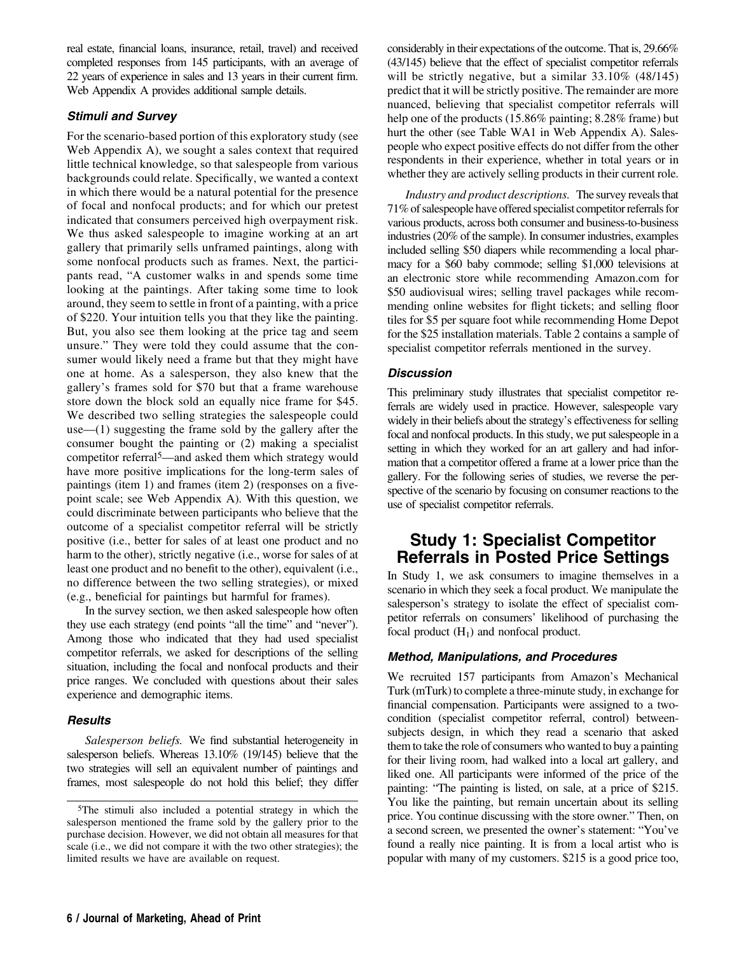real estate, financial loans, insurance, retail, travel) and received completed responses from 145 participants, with an average of 22 years of experience in sales and 13 years in their current firm. Web Appendix A provides additional sample details.

### Stimuli and Survey

For the scenario-based portion of this exploratory study (see Web Appendix A), we sought a sales context that required little technical knowledge, so that salespeople from various backgrounds could relate. Specifically, we wanted a context in which there would be a natural potential for the presence of focal and nonfocal products; and for which our pretest indicated that consumers perceived high overpayment risk. We thus asked salespeople to imagine working at an art gallery that primarily sells unframed paintings, along with some nonfocal products such as frames. Next, the participants read, "A customer walks in and spends some time looking at the paintings. After taking some time to look around, they seem to settle in front of a painting, with a price of \$220. Your intuition tells you that they like the painting. But, you also see them looking at the price tag and seem unsure." They were told they could assume that the consumer would likely need a frame but that they might have one at home. As a salesperson, they also knew that the gallery's frames sold for \$70 but that a frame warehouse store down the block sold an equally nice frame for \$45. We described two selling strategies the salespeople could use—(1) suggesting the frame sold by the gallery after the consumer bought the painting or (2) making a specialist competitor referral5—and asked them which strategy would have more positive implications for the long-term sales of paintings (item 1) and frames (item 2) (responses on a fivepoint scale; see Web Appendix A). With this question, we could discriminate between participants who believe that the outcome of a specialist competitor referral will be strictly positive (i.e., better for sales of at least one product and no harm to the other), strictly negative (i.e., worse for sales of at least one product and no benefit to the other), equivalent (i.e., no difference between the two selling strategies), or mixed (e.g., beneficial for paintings but harmful for frames).

In the survey section, we then asked salespeople how often they use each strategy (end points "all the time" and "never"). Among those who indicated that they had used specialist competitor referrals, we asked for descriptions of the selling situation, including the focal and nonfocal products and their price ranges. We concluded with questions about their sales experience and demographic items.

## **Results**

Salesperson beliefs. We find substantial heterogeneity in salesperson beliefs. Whereas 13.10% (19/145) believe that the two strategies will sell an equivalent number of paintings and frames, most salespeople do not hold this belief; they differ considerably in their expectations of the outcome. That is, 29.66% (43/145) believe that the effect of specialist competitor referrals will be strictly negative, but a similar  $33.10\%$  (48/145) predict that it will be strictly positive. The remainder are more nuanced, believing that specialist competitor referrals will help one of the products (15.86% painting; 8.28% frame) but hurt the other (see Table WA1 in Web Appendix A). Salespeople who expect positive effects do not differ from the other respondents in their experience, whether in total years or in whether they are actively selling products in their current role.

Industry and product descriptions. The survey reveals that 71% of salespeople have offered specialist competitor referrals for various products, across both consumer and business-to-business industries (20% of the sample). In consumer industries, examples included selling \$50 diapers while recommending a local pharmacy for a \$60 baby commode; selling \$1,000 televisions at an electronic store while recommending [Amazon.com](http://Amazon.com) for \$50 audiovisual wires; selling travel packages while recommending online websites for flight tickets; and selling floor tiles for \$5 per square foot while recommending Home Depot for the \$25 installation materials. Table 2 contains a sample of specialist competitor referrals mentioned in the survey.

## **Discussion**

This preliminary study illustrates that specialist competitor referrals are widely used in practice. However, salespeople vary widely in their beliefs about the strategy's effectiveness for selling focal and nonfocal products. In this study, we put salespeople in a setting in which they worked for an art gallery and had information that a competitor offered a frame at a lower price than the gallery. For the following series of studies, we reverse the perspective of the scenario by focusing on consumer reactions to the use of specialist competitor referrals.

# Study 1: Specialist Competitor Referrals in Posted Price Settings

In Study 1, we ask consumers to imagine themselves in a scenario in which they seek a focal product. We manipulate the salesperson's strategy to isolate the effect of specialist competitor referrals on consumers' likelihood of purchasing the focal product  $(H_1)$  and nonfocal product.

## Method, Manipulations, and Procedures

We recruited 157 participants from Amazon's Mechanical Turk (mTurk) to complete a three-minute study, in exchange for financial compensation. Participants were assigned to a twocondition (specialist competitor referral, control) betweensubjects design, in which they read a scenario that asked them to take the role of consumers who wanted to buy a painting for their living room, had walked into a local art gallery, and liked one. All participants were informed of the price of the painting: "The painting is listed, on sale, at a price of \$215. You like the painting, but remain uncertain about its selling price. You continue discussing with the store owner." Then, on a second screen, we presented the owner's statement: "You've found a really nice painting. It is from a local artist who is popular with many of my customers. \$215 is a good price too,

<sup>5</sup>The stimuli also included a potential strategy in which the salesperson mentioned the frame sold by the gallery prior to the purchase decision. However, we did not obtain all measures for that scale (i.e., we did not compare it with the two other strategies); the limited results we have are available on request.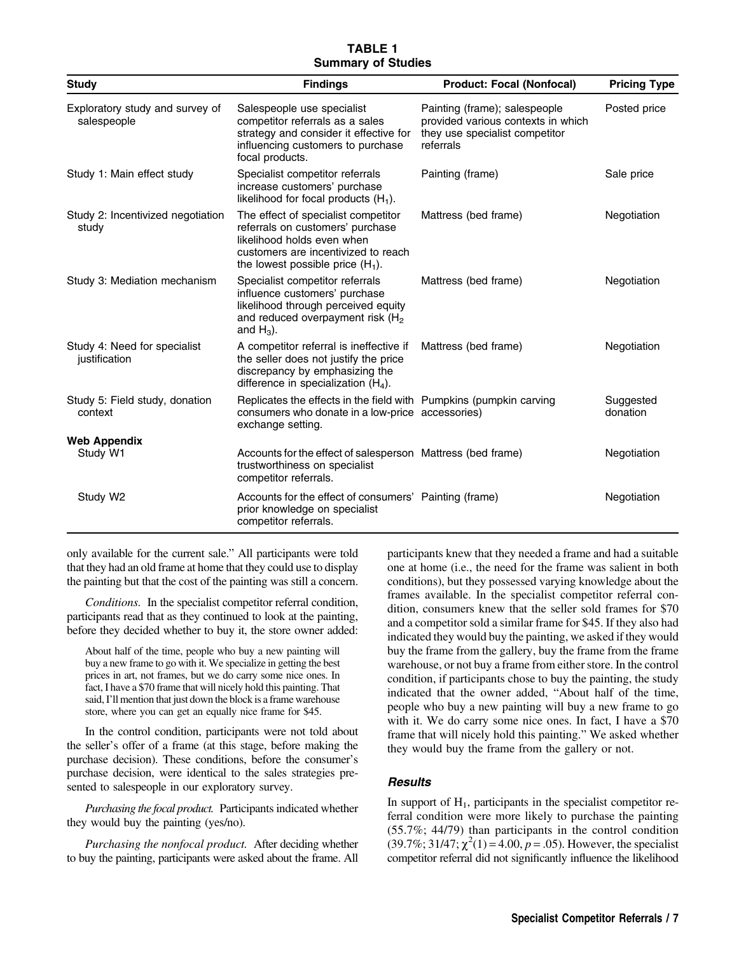#### TABLE 1 Summary of Studies

| <b>Study</b>                                   | <b>Findings</b>                                                                                                                                                                     | <b>Product: Focal (Nonfocal)</b>                                                                                   | <b>Pricing Type</b>   |
|------------------------------------------------|-------------------------------------------------------------------------------------------------------------------------------------------------------------------------------------|--------------------------------------------------------------------------------------------------------------------|-----------------------|
| Exploratory study and survey of<br>salespeople | Salespeople use specialist<br>competitor referrals as a sales<br>strategy and consider it effective for<br>influencing customers to purchase<br>focal products.                     | Painting (frame); salespeople<br>provided various contexts in which<br>they use specialist competitor<br>referrals | Posted price          |
| Study 1: Main effect study                     | Specialist competitor referrals<br>increase customers' purchase<br>likelihood for focal products $(H_1)$ .                                                                          | Painting (frame)                                                                                                   | Sale price            |
| Study 2: Incentivized negotiation<br>study     | The effect of specialist competitor<br>referrals on customers' purchase<br>likelihood holds even when<br>customers are incentivized to reach<br>the lowest possible price $(H_1)$ . | Mattress (bed frame)                                                                                               | Negotiation           |
| Study 3: Mediation mechanism                   | Specialist competitor referrals<br>influence customers' purchase<br>likelihood through perceived equity<br>and reduced overpayment risk $(H2)$<br>and $H_3$ ).                      | Mattress (bed frame)                                                                                               | Negotiation           |
| Study 4: Need for specialist<br>justification  | A competitor referral is ineffective if<br>the seller does not justify the price<br>discrepancy by emphasizing the<br>difference in specialization $(H_4)$ .                        | Mattress (bed frame)                                                                                               | Negotiation           |
| Study 5: Field study, donation<br>context      | Replicates the effects in the field with Pumpkins (pumpkin carving<br>consumers who donate in a low-price accessories)<br>exchange setting.                                         |                                                                                                                    | Suggested<br>donation |
| <b>Web Appendix</b>                            |                                                                                                                                                                                     |                                                                                                                    |                       |
| Study W1                                       | Accounts for the effect of salesperson Mattress (bed frame)<br>trustworthiness on specialist<br>competitor referrals.                                                               |                                                                                                                    | Negotiation           |
| Study W <sub>2</sub>                           | Accounts for the effect of consumers' Painting (frame)<br>prior knowledge on specialist<br>competitor referrals.                                                                    |                                                                                                                    | Negotiation           |

only available for the current sale." All participants were told that they had an old frame at home that they could use to display the painting but that the cost of the painting was still a concern.

Conditions. In the specialist competitor referral condition, participants read that as they continued to look at the painting, before they decided whether to buy it, the store owner added:

About half of the time, people who buy a new painting will buy a new frame to go with it. We specialize in getting the best prices in art, not frames, but we do carry some nice ones. In fact, I have a \$70 frame that will nicely hold this painting. That said, I'll mention that just down the block is a frame warehouse store, where you can get an equally nice frame for \$45.

In the control condition, participants were not told about the seller's offer of a frame (at this stage, before making the purchase decision). These conditions, before the consumer's purchase decision, were identical to the sales strategies presented to salespeople in our exploratory survey.

Purchasing the focal product. Participants indicated whether they would buy the painting (yes/no).

Purchasing the nonfocal product. After deciding whether to buy the painting, participants were asked about the frame. All participants knew that they needed a frame and had a suitable one at home (i.e., the need for the frame was salient in both conditions), but they possessed varying knowledge about the frames available. In the specialist competitor referral condition, consumers knew that the seller sold frames for \$70 and a competitor sold a similar frame for \$45. If they also had indicated they would buy the painting, we asked if they would buy the frame from the gallery, buy the frame from the frame warehouse, or not buy a frame from either store. In the control condition, if participants chose to buy the painting, the study indicated that the owner added, "About half of the time, people who buy a new painting will buy a new frame to go with it. We do carry some nice ones. In fact, I have a \$70 frame that will nicely hold this painting." We asked whether they would buy the frame from the gallery or not.

## **Results**

In support of  $H<sub>1</sub>$ , participants in the specialist competitor referral condition were more likely to purchase the painting (55.7%; 44/79) than participants in the control condition (39.7%; 31/47;  $\chi^2(1) = 4.00$ ,  $p = .05$ ). However, the specialist competitor referral did not significantly influence the likelihood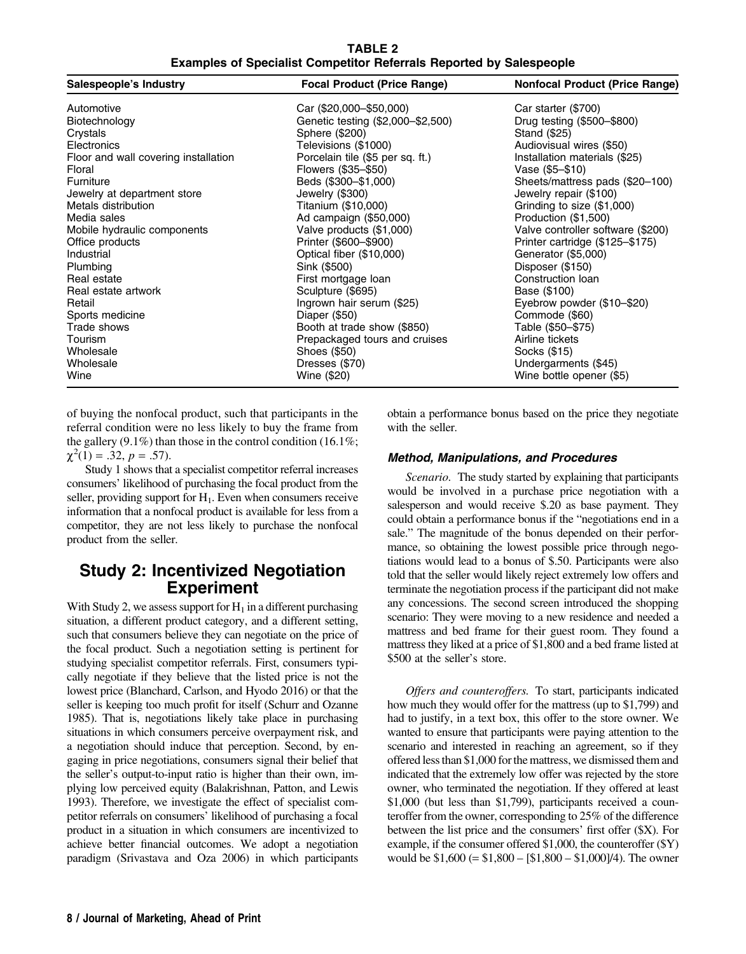| TABLE 2 |  |  |  |  |  |                                                                            |  |  |  |  |  |  |
|---------|--|--|--|--|--|----------------------------------------------------------------------------|--|--|--|--|--|--|
|         |  |  |  |  |  | <b>Examples of Specialist Competitor Referrals Reported by Salespeople</b> |  |  |  |  |  |  |

| <b>Salespeople's Industry</b>        | <b>Focal Product (Price Range)</b> | <b>Nonfocal Product (Price Range)</b> |
|--------------------------------------|------------------------------------|---------------------------------------|
| Automotive                           | Car (\$20,000-\$50,000)            | Car starter (\$700)                   |
| Biotechnology                        | Genetic testing (\$2,000-\$2,500)  | Drug testing (\$500-\$800)            |
| Crystals                             | Sphere (\$200)                     | Stand (\$25)                          |
| Electronics                          | Televisions (\$1000)               | Audiovisual wires (\$50)              |
| Floor and wall covering installation | Porcelain tile (\$5 per sq. ft.)   | Installation materials (\$25)         |
| Floral                               | Flowers (\$35-\$50)                | Vase (\$5-\$10)                       |
| Furniture                            | Beds (\$300-\$1,000)               | Sheets/mattress pads (\$20-100)       |
| Jewelry at department store          | Jewelry (\$300)                    | Jewelry repair (\$100)                |
| Metals distribution                  | Titanium (\$10,000)                | Grinding to size (\$1,000)            |
| Media sales                          | Ad campaign (\$50,000)             | Production (\$1,500)                  |
| Mobile hydraulic components          | Valve products (\$1,000)           | Valve controller software (\$200)     |
| Office products                      | Printer (\$600-\$900)              | Printer cartridge (\$125–\$175)       |
| Industrial                           | Optical fiber (\$10,000)           | Generator (\$5,000)                   |
| Plumbing                             | Sink (\$500)                       | Disposer (\$150)                      |
| Real estate                          | First mortgage loan                | Construction loan                     |
| Real estate artwork                  | Sculpture (\$695)                  | Base (\$100)                          |
| Retail                               | Ingrown hair serum (\$25)          | Eyebrow powder (\$10-\$20)            |
| Sports medicine                      | Diaper (\$50)                      | Commode (\$60)                        |
| Trade shows                          | Booth at trade show (\$850)        | Table (\$50–\$75)                     |
| Tourism                              | Prepackaged tours and cruises      | Airline tickets                       |
| Wholesale                            | Shoes (\$50)                       | Socks (\$15)                          |
| Wholesale                            | Dresses (\$70)                     | Undergarments (\$45)                  |
| Wine                                 | Wine (\$20)                        | Wine bottle opener (\$5)              |

of buying the nonfocal product, such that participants in the referral condition were no less likely to buy the frame from the gallery (9.1%) than those in the control condition (16.1%;  $\chi^2(1) = .32, p = .57$ ).

Study 1 shows that a specialist competitor referral increases consumers' likelihood of purchasing the focal product from the seller, providing support for  $H_1$ . Even when consumers receive information that a nonfocal product is available for less from a competitor, they are not less likely to purchase the nonfocal product from the seller.

## Study 2: Incentivized Negotiation Experiment

With Study 2, we assess support for  $H_1$  in a different purchasing situation, a different product category, and a different setting, such that consumers believe they can negotiate on the price of the focal product. Such a negotiation setting is pertinent for studying specialist competitor referrals. First, consumers typically negotiate if they believe that the listed price is not the lowest price (Blanchard, Carlson, and Hyodo 2016) or that the seller is keeping too much profit for itself (Schurr and Ozanne 1985). That is, negotiations likely take place in purchasing situations in which consumers perceive overpayment risk, and a negotiation should induce that perception. Second, by engaging in price negotiations, consumers signal their belief that the seller's output-to-input ratio is higher than their own, implying low perceived equity (Balakrishnan, Patton, and Lewis 1993). Therefore, we investigate the effect of specialist competitor referrals on consumers' likelihood of purchasing a focal product in a situation in which consumers are incentivized to achieve better financial outcomes. We adopt a negotiation paradigm (Srivastava and Oza 2006) in which participants obtain a performance bonus based on the price they negotiate with the seller.

## Method, Manipulations, and Procedures

Scenario. The study started by explaining that participants would be involved in a purchase price negotiation with a salesperson and would receive \$.20 as base payment. They could obtain a performance bonus if the "negotiations end in a sale." The magnitude of the bonus depended on their performance, so obtaining the lowest possible price through negotiations would lead to a bonus of \$.50. Participants were also told that the seller would likely reject extremely low offers and terminate the negotiation process if the participant did not make any concessions. The second screen introduced the shopping scenario: They were moving to a new residence and needed a mattress and bed frame for their guest room. They found a mattress they liked at a price of \$1,800 and a bed frame listed at \$500 at the seller's store.

Offers and counteroffers. To start, participants indicated how much they would offer for the mattress (up to \$1,799) and had to justify, in a text box, this offer to the store owner. We wanted to ensure that participants were paying attention to the scenario and interested in reaching an agreement, so if they offered less than \$1,000 for the mattress, we dismissed them and indicated that the extremely low offer was rejected by the store owner, who terminated the negotiation. If they offered at least \$1,000 (but less than \$1,799), participants received a counteroffer from the owner, corresponding to 25% of the difference between the list price and the consumers' first offer (\$X). For example, if the consumer offered \$1,000, the counteroffer (\$Y) would be  $$1,600 (= $1,800 - $1,800 - $1,000]/4$ ). The owner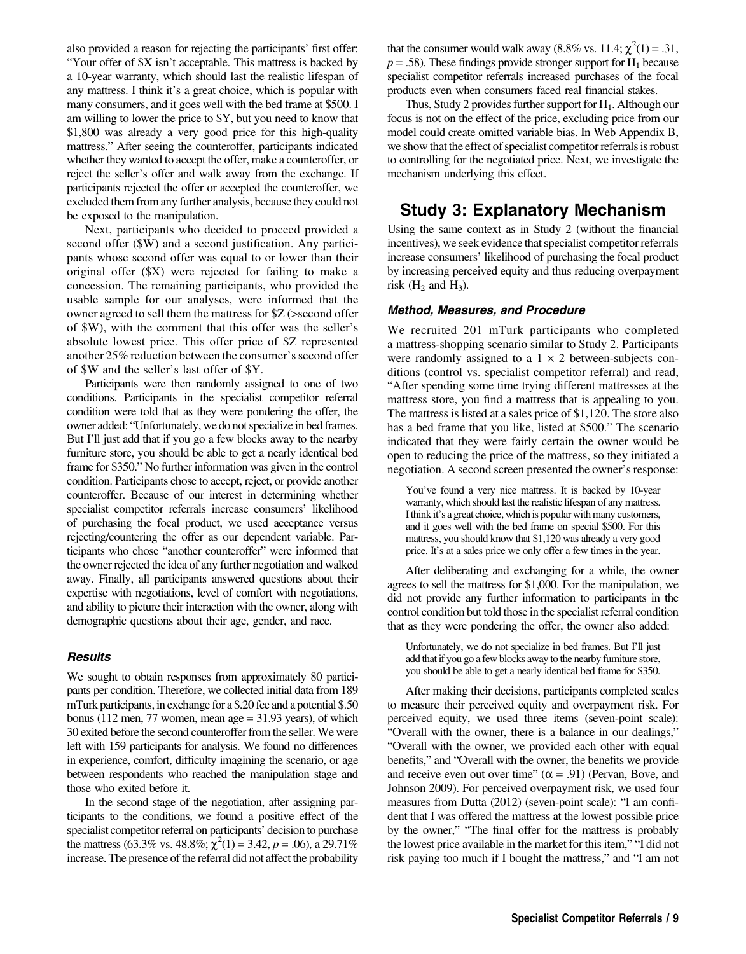also provided a reason for rejecting the participants' first offer: "Your offer of \$X isn't acceptable. This mattress is backed by a 10-year warranty, which should last the realistic lifespan of any mattress. I think it's a great choice, which is popular with many consumers, and it goes well with the bed frame at \$500. I am willing to lower the price to \$Y, but you need to know that \$1,800 was already a very good price for this high-quality mattress." After seeing the counteroffer, participants indicated whether they wanted to accept the offer, make a counteroffer, or reject the seller's offer and walk away from the exchange. If participants rejected the offer or accepted the counteroffer, we excluded them from any further analysis, because they could not be exposed to the manipulation.

Next, participants who decided to proceed provided a second offer (\$W) and a second justification. Any participants whose second offer was equal to or lower than their original offer (\$X) were rejected for failing to make a concession. The remaining participants, who provided the usable sample for our analyses, were informed that the owner agreed to sell them the mattress for \$Z (>second offer of \$W), with the comment that this offer was the seller's absolute lowest price. This offer price of \$Z represented another 25% reduction between the consumer's second offer of \$W and the seller's last offer of \$Y.

Participants were then randomly assigned to one of two conditions. Participants in the specialist competitor referral condition were told that as they were pondering the offer, the owner added: "Unfortunately, we do not specialize in bed frames. But I'll just add that if you go a few blocks away to the nearby furniture store, you should be able to get a nearly identical bed frame for \$350." No further information was given in the control condition. Participants chose to accept, reject, or provide another counteroffer. Because of our interest in determining whether specialist competitor referrals increase consumers' likelihood of purchasing the focal product, we used acceptance versus rejecting/countering the offer as our dependent variable. Participants who chose "another counteroffer" were informed that the owner rejected the idea of any further negotiation and walked away. Finally, all participants answered questions about their expertise with negotiations, level of comfort with negotiations, and ability to picture their interaction with the owner, along with demographic questions about their age, gender, and race.

#### **Results**

We sought to obtain responses from approximately 80 participants per condition. Therefore, we collected initial data from 189 mTurk participants, in exchange for a \$.20 fee and a potential \$.50 bonus (112 men, 77 women, mean age  $= 31.93$  years), of which 30 exited before the second counteroffer from the seller. We were left with 159 participants for analysis. We found no differences in experience, comfort, difficulty imagining the scenario, or age between respondents who reached the manipulation stage and those who exited before it.

In the second stage of the negotiation, after assigning participants to the conditions, we found a positive effect of the specialist competitor referral on participants' decision to purchase the mattress (63.3% vs. 48.8%;  $\chi^2(1) = 3.42$ ,  $p = .06$ ), a 29.71% increase. The presence of the referral did not affect the probability

that the consumer would walk away (8.8% vs. 11.4;  $\chi^2(1) = .31$ ,  $p = .58$ ). These findings provide stronger support for H<sub>1</sub> because specialist competitor referrals increased purchases of the focal products even when consumers faced real financial stakes.

Thus, Study 2 provides further support for  $H_1$ . Although our focus is not on the effect of the price, excluding price from our model could create omitted variable bias. In Web Appendix B, we show that the effect of specialist competitor referrals is robust to controlling for the negotiated price. Next, we investigate the mechanism underlying this effect.

# Study 3: Explanatory Mechanism

Using the same context as in Study 2 (without the financial incentives), we seek evidence that specialist competitor referrals increase consumers' likelihood of purchasing the focal product by increasing perceived equity and thus reducing overpayment risk  $(H_2$  and  $H_3$ ).

#### Method, Measures, and Procedure

We recruited 201 mTurk participants who completed a mattress-shopping scenario similar to Study 2. Participants were randomly assigned to a  $1 \times 2$  between-subjects conditions (control vs. specialist competitor referral) and read, "After spending some time trying different mattresses at the mattress store, you find a mattress that is appealing to you. The mattress is listed at a sales price of \$1,120. The store also has a bed frame that you like, listed at \$500." The scenario indicated that they were fairly certain the owner would be open to reducing the price of the mattress, so they initiated a negotiation. A second screen presented the owner's response:

You've found a very nice mattress. It is backed by 10-year warranty, which should last the realistic lifespan of any mattress. I think it's a great choice, which is popular with many customers, and it goes well with the bed frame on special \$500. For this mattress, you should know that \$1,120 was already a very good price. It's at a sales price we only offer a few times in the year.

After deliberating and exchanging for a while, the owner agrees to sell the mattress for \$1,000. For the manipulation, we did not provide any further information to participants in the control condition but told those in the specialist referral condition that as they were pondering the offer, the owner also added:

Unfortunately, we do not specialize in bed frames. But I'll just add that if you go a few blocks away to the nearby furniture store, you should be able to get a nearly identical bed frame for \$350.

After making their decisions, participants completed scales to measure their perceived equity and overpayment risk. For perceived equity, we used three items (seven-point scale): "Overall with the owner, there is a balance in our dealings," "Overall with the owner, we provided each other with equal benefits," and "Overall with the owner, the benefits we provide and receive even out over time" ( $\alpha$  = .91) (Pervan, Bove, and Johnson 2009). For perceived overpayment risk, we used four measures from Dutta (2012) (seven-point scale): "I am confident that I was offered the mattress at the lowest possible price by the owner," "The final offer for the mattress is probably the lowest price available in the market for this item," "I did not risk paying too much if I bought the mattress," and "I am not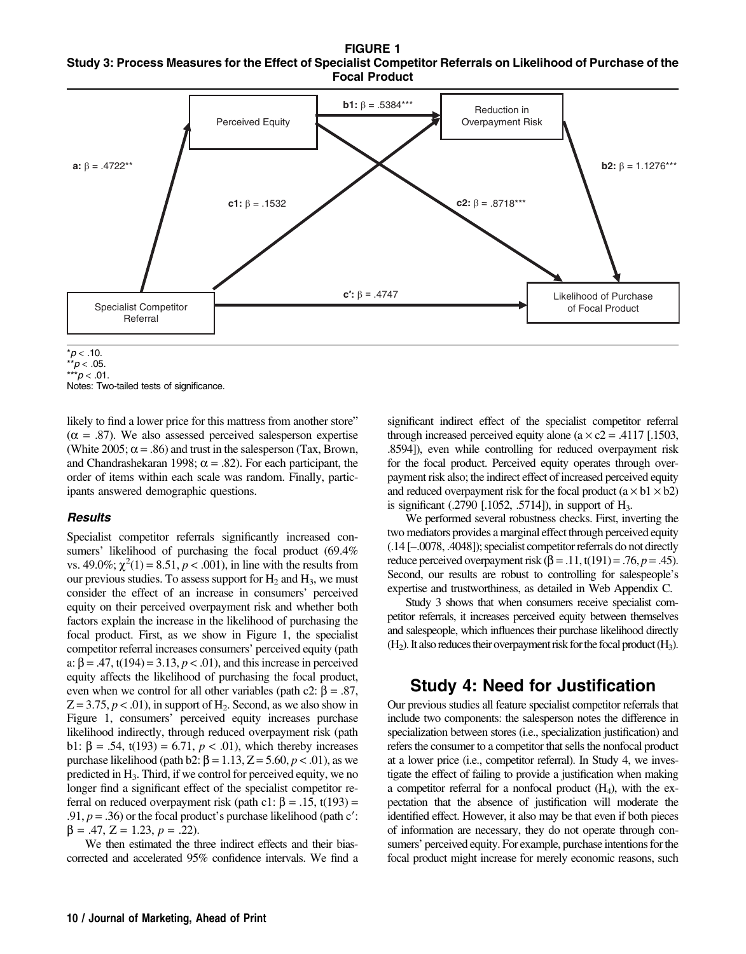FIGURE 1 Study 3: Process Measures for the Effect of Specialist Competitor Referrals on Likelihood of Purchase of the Focal Product



 $*p$  < .10.

likely to find a lower price for this mattress from another store"  $(\alpha = .87)$ . We also assessed perceived salesperson expertise (White 2005;  $\alpha$  = .86) and trust in the salesperson (Tax, Brown, and Chandrashekaran 1998;  $\alpha$  = .82). For each participant, the order of items within each scale was random. Finally, participants answered demographic questions.

#### **Results**

Specialist competitor referrals significantly increased consumers' likelihood of purchasing the focal product (69.4% vs. 49.0%;  $\chi^2(1) = 8.51, p < .001$ , in line with the results from our previous studies. To assess support for  $H_2$  and  $H_3$ , we must consider the effect of an increase in consumers' perceived equity on their perceived overpayment risk and whether both factors explain the increase in the likelihood of purchasing the focal product. First, as we show in Figure 1, the specialist competitor referral increases consumers' perceived equity (path a:  $\beta = .47$ , t(194) = 3.13,  $p < .01$ ), and this increase in perceived equity affects the likelihood of purchasing the focal product, even when we control for all other variables (path c2:  $\beta = .87$ ,  $Z = 3.75$ ,  $p < .01$ ), in support of  $H<sub>2</sub>$ . Second, as we also show in Figure 1, consumers' perceived equity increases purchase likelihood indirectly, through reduced overpayment risk (path b1:  $\beta = .54$ , t(193) = 6.71,  $p < .01$ ), which thereby increases purchase likelihood (path b2:  $\beta$  = 1.13, Z = 5.60,  $p < .01$ ), as we predicted in  $H_3$ . Third, if we control for perceived equity, we no longer find a significant effect of the specialist competitor referral on reduced overpayment risk (path c1:  $\beta$  = .15, t(193) = .91,  $p = .36$ ) or the focal product's purchase likelihood (path c':  $\beta = .47, Z = 1.23, p = .22$ .

We then estimated the three indirect effects and their biascorrected and accelerated 95% confidence intervals. We find a

significant indirect effect of the specialist competitor referral through increased perceived equity alone ( $a \times c2 = .4117$  [.1503, .8594]), even while controlling for reduced overpayment risk for the focal product. Perceived equity operates through overpayment risk also; the indirect effect of increased perceived equity and reduced overpayment risk for the focal product  $(a \times b1 \times b2)$ is significant (.2790 [.1052, .5714]), in support of  $H_3$ .

We performed several robustness checks. First, inverting the two mediators provides a marginal effect through perceived equity (.14 [–.0078, .4048]); specialist competitor referrals do not directly reduce perceived overpayment risk  $(\beta = .11, t(191) = .76, p = .45)$ . Second, our results are robust to controlling for salespeople's expertise and trustworthiness, as detailed in Web Appendix C.

Study 3 shows that when consumers receive specialist competitor referrals, it increases perceived equity between themselves and salespeople, which influences their purchase likelihood directly  $(H<sub>2</sub>)$ . It also reduces their overpayment risk for the focal product  $(H<sub>3</sub>)$ .

# Study 4: Need for Justification

Our previous studies all feature specialist competitor referrals that include two components: the salesperson notes the difference in specialization between stores (i.e., specialization justification) and refers the consumer to a competitor that sells the nonfocal product at a lower price (i.e., competitor referral). In Study 4, we investigate the effect of failing to provide a justification when making a competitor referral for a nonfocal product  $(H<sub>4</sub>)$ , with the expectation that the absence of justification will moderate the identified effect. However, it also may be that even if both pieces of information are necessary, they do not operate through consumers' perceived equity. For example, purchase intentions for the focal product might increase for merely economic reasons, such

 $*^{*}p < .05$ . \*\*\* $p < .01$ .

Notes: Two-tailed tests of significance.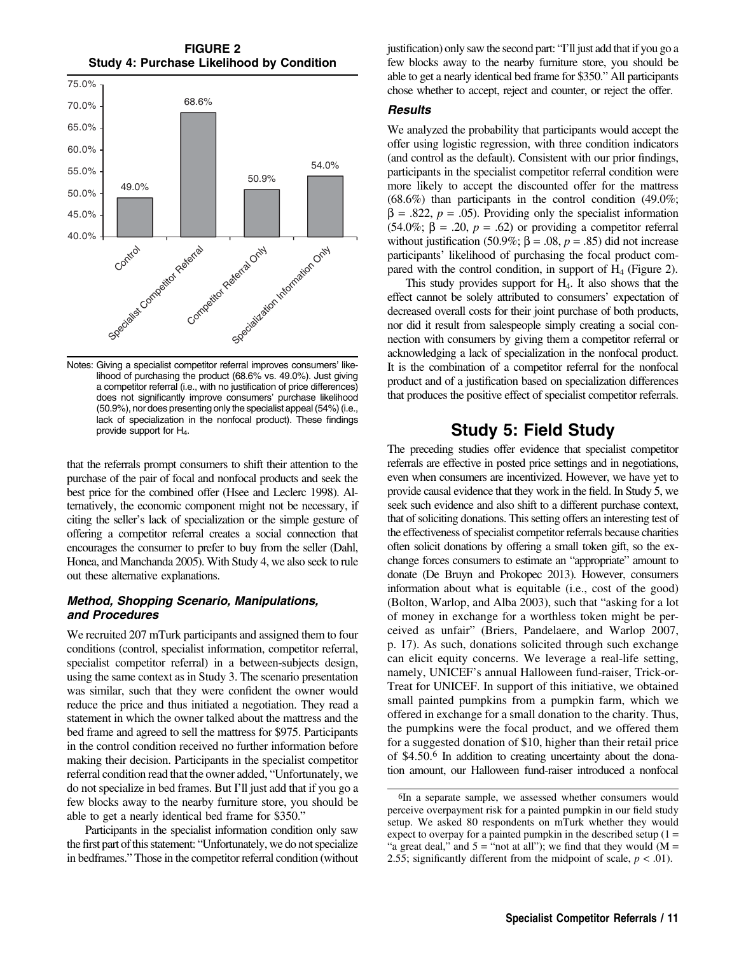



Notes: Giving a specialist competitor referral improves consumers' likelihood of purchasing the product (68.6% vs. 49.0%). Just giving a competitor referral (i.e., with no justification of price differences) does not significantly improve consumers' purchase likelihood (50.9%), nor does presenting only the specialist appeal (54%) (i.e., lack of specialization in the nonfocal product). These findings provide support for  $H_4$ .

that the referrals prompt consumers to shift their attention to the purchase of the pair of focal and nonfocal products and seek the best price for the combined offer (Hsee and Leclerc 1998). Alternatively, the economic component might not be necessary, if citing the seller's lack of specialization or the simple gesture of offering a competitor referral creates a social connection that encourages the consumer to prefer to buy from the seller (Dahl, Honea, and Manchanda 2005). With Study 4, we also seek to rule out these alternative explanations.

#### Method, Shopping Scenario, Manipulations, and Procedures

We recruited 207 mTurk participants and assigned them to four conditions (control, specialist information, competitor referral, specialist competitor referral) in a between-subjects design, using the same context as in Study 3. The scenario presentation was similar, such that they were confident the owner would reduce the price and thus initiated a negotiation. They read a statement in which the owner talked about the mattress and the bed frame and agreed to sell the mattress for \$975. Participants in the control condition received no further information before making their decision. Participants in the specialist competitor referral condition read that the owner added, "Unfortunately, we do not specialize in bed frames. But I'll just add that if you go a few blocks away to the nearby furniture store, you should be able to get a nearly identical bed frame for \$350."

Participants in the specialist information condition only saw the first part of this statement: "Unfortunately, we do not specialize in bedframes." Those in the competitor referral condition (without justification) only saw the second part: "I'll just add that if you go a few blocks away to the nearby furniture store, you should be able to get a nearly identical bed frame for \$350." All participants chose whether to accept, reject and counter, or reject the offer.

#### **Results**

We analyzed the probability that participants would accept the offer using logistic regression, with three condition indicators (and control as the default). Consistent with our prior findings, participants in the specialist competitor referral condition were more likely to accept the discounted offer for the mattress  $(68.6\%)$  than participants in the control condition  $(49.0\%;$  $\beta = .822, p = .05$ . Providing only the specialist information (54.0%;  $\beta$  = .20,  $p = .62$ ) or providing a competitor referral without justification (50.9%;  $\beta = .08$ ,  $p = .85$ ) did not increase participants' likelihood of purchasing the focal product compared with the control condition, in support of  $H_4$  (Figure 2).

This study provides support for  $H_4$ . It also shows that the effect cannot be solely attributed to consumers' expectation of decreased overall costs for their joint purchase of both products, nor did it result from salespeople simply creating a social connection with consumers by giving them a competitor referral or acknowledging a lack of specialization in the nonfocal product. It is the combination of a competitor referral for the nonfocal product and of a justification based on specialization differences that produces the positive effect of specialist competitor referrals.

## Study 5: Field Study

The preceding studies offer evidence that specialist competitor referrals are effective in posted price settings and in negotiations, even when consumers are incentivized. However, we have yet to provide causal evidence that they work in the field. In Study 5, we seek such evidence and also shift to a different purchase context, that of soliciting donations. This setting offers an interesting test of the effectiveness of specialist competitor referrals because charities often solicit donations by offering a small token gift, so the exchange forces consumers to estimate an "appropriate" amount to donate (De Bruyn and Prokopec 2013). However, consumers information about what is equitable (i.e., cost of the good) (Bolton, Warlop, and Alba 2003), such that "asking for a lot of money in exchange for a worthless token might be perceived as unfair" (Briers, Pandelaere, and Warlop 2007, p. 17). As such, donations solicited through such exchange can elicit equity concerns. We leverage a real-life setting, namely, UNICEF's annual Halloween fund-raiser, Trick-or-Treat for UNICEF. In support of this initiative, we obtained small painted pumpkins from a pumpkin farm, which we offered in exchange for a small donation to the charity. Thus, the pumpkins were the focal product, and we offered them for a suggested donation of \$10, higher than their retail price of \$4.50.6 In addition to creating uncertainty about the donation amount, our Halloween fund-raiser introduced a nonfocal

<sup>6</sup>In a separate sample, we assessed whether consumers would perceive overpayment risk for a painted pumpkin in our field study setup. We asked 80 respondents on mTurk whether they would expect to overpay for a painted pumpkin in the described setup  $(1 =$ "a great deal," and  $5 =$  "not at all"); we find that they would ( $M =$ 2.55; significantly different from the midpoint of scale,  $p < .01$ ).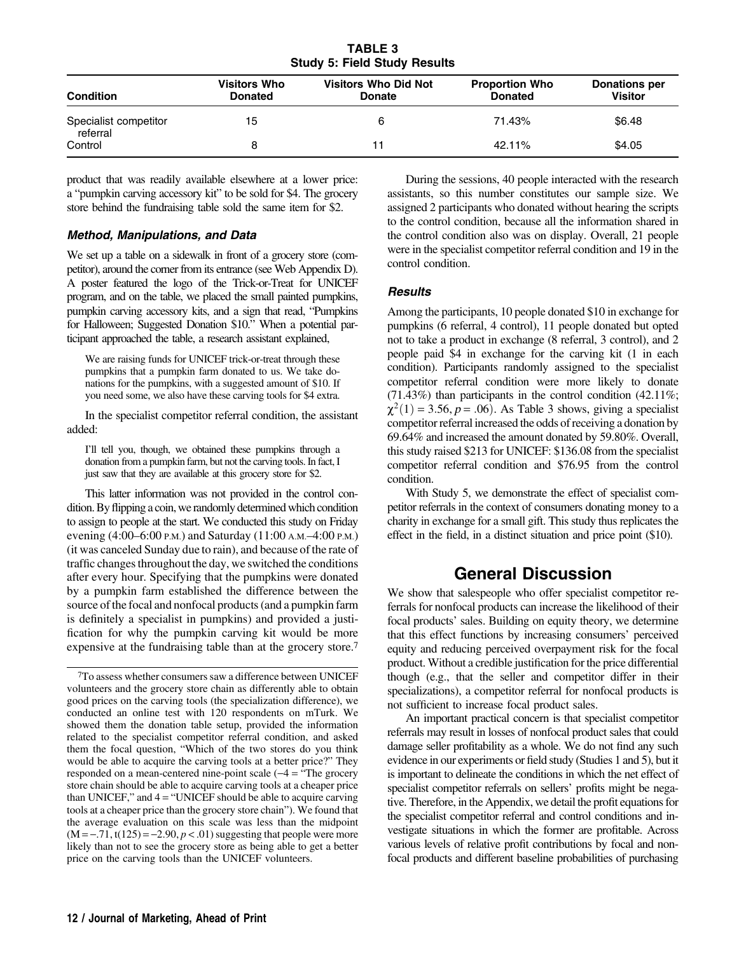TABLE 3 Study 5: Field Study Results

| <b>Condition</b>                  | <b>Visitors Who</b><br><b>Donated</b> | <b>Visitors Who Did Not</b><br><b>Donate</b> | <b>Proportion Who</b><br><b>Donated</b> | <b>Donations per</b><br><b>Visitor</b> |
|-----------------------------------|---------------------------------------|----------------------------------------------|-----------------------------------------|----------------------------------------|
| Specialist competitor<br>referral | 15                                    | 6                                            | 71.43%                                  | \$6.48                                 |
| Control                           |                                       |                                              | 42.11%                                  | \$4.05                                 |

product that was readily available elsewhere at a lower price: a "pumpkin carving accessory kit" to be sold for \$4. The grocery store behind the fundraising table sold the same item for \$2.

#### Method, Manipulations, and Data

We set up a table on a sidewalk in front of a grocery store (competitor), around the corner from its entrance (see Web Appendix D). A poster featured the logo of the Trick-or-Treat for UNICEF program, and on the table, we placed the small painted pumpkins, pumpkin carving accessory kits, and a sign that read, "Pumpkins for Halloween; Suggested Donation \$10." When a potential participant approached the table, a research assistant explained,

We are raising funds for UNICEF trick-or-treat through these pumpkins that a pumpkin farm donated to us. We take donations for the pumpkins, with a suggested amount of \$10. If you need some, we also have these carving tools for \$4 extra.

In the specialist competitor referral condition, the assistant added:

I'll tell you, though, we obtained these pumpkins through a donation from a pumpkin farm, but not the carving tools. In fact, I just saw that they are available at this grocery store for \$2.

This latter information was not provided in the control condition. By flipping a coin, we randomly determined which condition to assign to people at the start. We conducted this study on Friday evening (4:00–6:00 P.M.) and Saturday (11:00 A.M.–4:00 P.M.) (it was canceled Sunday due to rain), and because of the rate of traffic changes throughout the day, we switched the conditions after every hour. Specifying that the pumpkins were donated by a pumpkin farm established the difference between the source of the focal and nonfocal products (and a pumpkin farm is definitely a specialist in pumpkins) and provided a justification for why the pumpkin carving kit would be more expensive at the fundraising table than at the grocery store.7

During the sessions, 40 people interacted with the research assistants, so this number constitutes our sample size. We assigned 2 participants who donated without hearing the scripts to the control condition, because all the information shared in the control condition also was on display. Overall, 21 people were in the specialist competitor referral condition and 19 in the control condition.

#### **Results**

Among the participants, 10 people donated \$10 in exchange for pumpkins (6 referral, 4 control), 11 people donated but opted not to take a product in exchange (8 referral, 3 control), and 2 people paid \$4 in exchange for the carving kit (1 in each condition). Participants randomly assigned to the specialist competitor referral condition were more likely to donate (71.43%) than participants in the control condition (42.11%;  $\chi^2(1) = 3.56$ ,  $p = .06$ ). As Table 3 shows, giving a specialist competitor referral increased the odds of receiving a donation by 69.64% and increased the amount donated by 59.80%. Overall, this study raised \$213 for UNICEF: \$136.08 from the specialist competitor referral condition and \$76.95 from the control condition.

With Study 5, we demonstrate the effect of specialist competitor referrals in the context of consumers donating money to a charity in exchange for a small gift. This study thus replicates the effect in the field, in a distinct situation and price point (\$10).

# General Discussion

We show that salespeople who offer specialist competitor referrals for nonfocal products can increase the likelihood of their focal products' sales. Building on equity theory, we determine that this effect functions by increasing consumers' perceived equity and reducing perceived overpayment risk for the focal product. Without a credible justification for the price differential though (e.g., that the seller and competitor differ in their specializations), a competitor referral for nonfocal products is not sufficient to increase focal product sales.

An important practical concern is that specialist competitor referrals may result in losses of nonfocal product sales that could damage seller profitability as a whole. We do not find any such evidence in our experiments or field study (Studies 1 and 5), but it is important to delineate the conditions in which the net effect of specialist competitor referrals on sellers' profits might be negative. Therefore, in the Appendix, we detail the profit equations for the specialist competitor referral and control conditions and investigate situations in which the former are profitable. Across various levels of relative profit contributions by focal and nonfocal products and different baseline probabilities of purchasing

<sup>7</sup>To assess whether consumers saw a difference between UNICEF volunteers and the grocery store chain as differently able to obtain good prices on the carving tools (the specialization difference), we conducted an online test with 120 respondents on mTurk. We showed them the donation table setup, provided the information related to the specialist competitor referral condition, and asked them the focal question, "Which of the two stores do you think would be able to acquire the carving tools at a better price?" They responded on a mean-centered nine-point scale  $(-4 = "The grocerv]$ store chain should be able to acquire carving tools at a cheaper price than UNICEF," and  $4 =$  "UNICEF should be able to acquire carving tools at a cheaper price than the grocery store chain"). We found that the average evaluation on this scale was less than the midpoint  $(M = -0.71, t(125) = -2.90, p < 0.01)$  suggesting that people were more likely than not to see the grocery store as being able to get a better price on the carving tools than the UNICEF volunteers.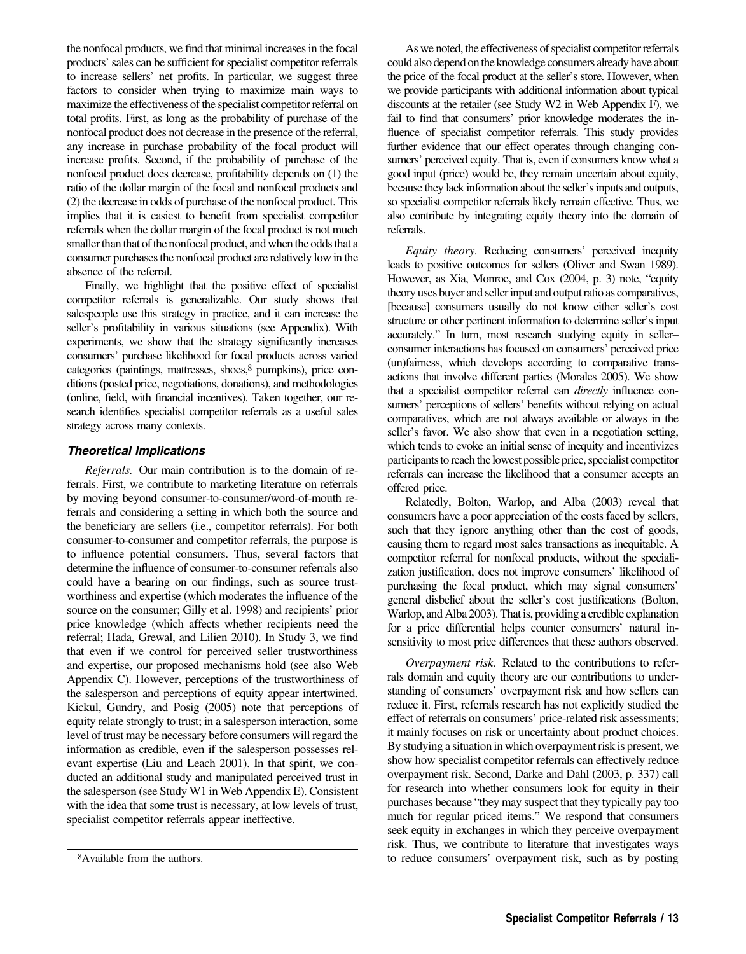the nonfocal products, we find that minimal increases in the focal products'sales can be sufficient for specialist competitor referrals to increase sellers' net profits. In particular, we suggest three factors to consider when trying to maximize main ways to maximize the effectiveness of the specialist competitor referral on total profits. First, as long as the probability of purchase of the nonfocal product does not decrease in the presence of the referral, any increase in purchase probability of the focal product will increase profits. Second, if the probability of purchase of the nonfocal product does decrease, profitability depends on (1) the ratio of the dollar margin of the focal and nonfocal products and (2) the decrease in odds of purchase of the nonfocal product. This implies that it is easiest to benefit from specialist competitor referrals when the dollar margin of the focal product is not much smaller than that of the nonfocal product, and when the odds that a consumer purchases the nonfocal product are relatively low in the absence of the referral.

Finally, we highlight that the positive effect of specialist competitor referrals is generalizable. Our study shows that salespeople use this strategy in practice, and it can increase the seller's profitability in various situations (see Appendix). With experiments, we show that the strategy significantly increases consumers' purchase likelihood for focal products across varied categories (paintings, mattresses, shoes,8 pumpkins), price conditions (posted price, negotiations, donations), and methodologies (online, field, with financial incentives). Taken together, our research identifies specialist competitor referrals as a useful sales strategy across many contexts.

#### Theoretical Implications

Referrals. Our main contribution is to the domain of referrals. First, we contribute to marketing literature on referrals by moving beyond consumer-to-consumer/word-of-mouth referrals and considering a setting in which both the source and the beneficiary are sellers (i.e., competitor referrals). For both consumer-to-consumer and competitor referrals, the purpose is to influence potential consumers. Thus, several factors that determine the influence of consumer-to-consumer referrals also could have a bearing on our findings, such as source trustworthiness and expertise (which moderates the influence of the source on the consumer; Gilly et al. 1998) and recipients' prior price knowledge (which affects whether recipients need the referral; Hada, Grewal, and Lilien 2010). In Study 3, we find that even if we control for perceived seller trustworthiness and expertise, our proposed mechanisms hold (see also Web Appendix C). However, perceptions of the trustworthiness of the salesperson and perceptions of equity appear intertwined. Kickul, Gundry, and Posig (2005) note that perceptions of equity relate strongly to trust; in a salesperson interaction, some level of trust may be necessary before consumers will regard the information as credible, even if the salesperson possesses relevant expertise (Liu and Leach 2001). In that spirit, we conducted an additional study and manipulated perceived trust in the salesperson (see Study W1 in Web Appendix E). Consistent with the idea that some trust is necessary, at low levels of trust, specialist competitor referrals appear ineffective.

As we noted, the effectiveness of specialist competitor referrals could also depend on the knowledge consumers already have about the price of the focal product at the seller's store. However, when we provide participants with additional information about typical discounts at the retailer (see Study W2 in Web Appendix F), we fail to find that consumers' prior knowledge moderates the influence of specialist competitor referrals. This study provides further evidence that our effect operates through changing consumers' perceived equity. That is, even if consumers know what a good input (price) would be, they remain uncertain about equity, because they lack information about the seller's inputs and outputs, so specialist competitor referrals likely remain effective. Thus, we also contribute by integrating equity theory into the domain of referrals.

Equity theory. Reducing consumers' perceived inequity leads to positive outcomes for sellers (Oliver and Swan 1989). However, as Xia, Monroe, and Cox (2004, p. 3) note, "equity theory uses buyer and seller input and output ratio as comparatives, [because] consumers usually do not know either seller's cost structure or other pertinent information to determine seller's input accurately." In turn, most research studying equity in seller– consumer interactions has focused on consumers' perceived price (un)fairness, which develops according to comparative transactions that involve different parties (Morales 2005). We show that a specialist competitor referral can *directly* influence consumers' perceptions of sellers' benefits without relying on actual comparatives, which are not always available or always in the seller's favor. We also show that even in a negotiation setting, which tends to evoke an initial sense of inequity and incentivizes participants to reach the lowest possible price, specialist competitor referrals can increase the likelihood that a consumer accepts an offered price.

Relatedly, Bolton, Warlop, and Alba (2003) reveal that consumers have a poor appreciation of the costs faced by sellers, such that they ignore anything other than the cost of goods, causing them to regard most sales transactions as inequitable. A competitor referral for nonfocal products, without the specialization justification, does not improve consumers' likelihood of purchasing the focal product, which may signal consumers' general disbelief about the seller's cost justifications (Bolton, Warlop, and Alba 2003). That is, providing a credible explanation for a price differential helps counter consumers' natural insensitivity to most price differences that these authors observed.

Overpayment risk. Related to the contributions to referrals domain and equity theory are our contributions to understanding of consumers' overpayment risk and how sellers can reduce it. First, referrals research has not explicitly studied the effect of referrals on consumers' price-related risk assessments; it mainly focuses on risk or uncertainty about product choices. By studying a situation in which overpayment risk is present, we show how specialist competitor referrals can effectively reduce overpayment risk. Second, Darke and Dahl (2003, p. 337) call for research into whether consumers look for equity in their purchases because "they may suspect that they typically pay too much for regular priced items." We respond that consumers seek equity in exchanges in which they perceive overpayment risk. Thus, we contribute to literature that investigates ways 8Available from the authors. to reduce consumers' overpayment risk, such as by posting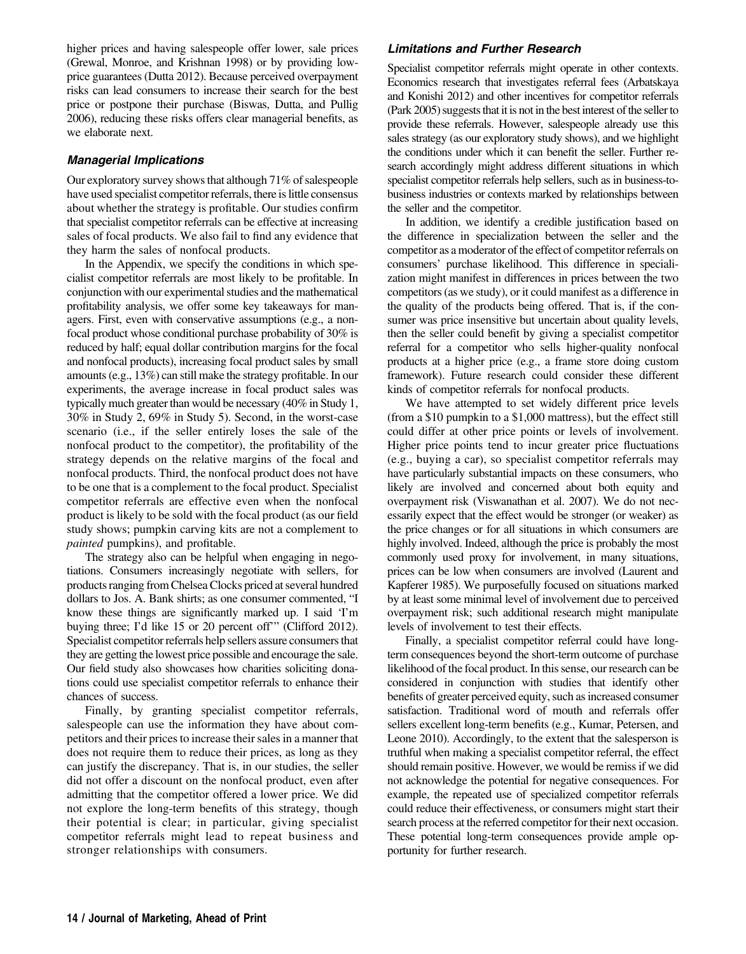higher prices and having salespeople offer lower, sale prices (Grewal, Monroe, and Krishnan 1998) or by providing lowprice guarantees (Dutta 2012). Because perceived overpayment risks can lead consumers to increase their search for the best price or postpone their purchase (Biswas, Dutta, and Pullig 2006), reducing these risks offers clear managerial benefits, as we elaborate next.

#### Managerial Implications

Our exploratory survey shows that although 71% of salespeople have used specialist competitor referrals, there is little consensus about whether the strategy is profitable. Our studies confirm that specialist competitor referrals can be effective at increasing sales of focal products. We also fail to find any evidence that they harm the sales of nonfocal products.

In the Appendix, we specify the conditions in which specialist competitor referrals are most likely to be profitable. In conjunction with our experimental studies and the mathematical profitability analysis, we offer some key takeaways for managers. First, even with conservative assumptions (e.g., a nonfocal product whose conditional purchase probability of 30% is reduced by half; equal dollar contribution margins for the focal and nonfocal products), increasing focal product sales by small amounts (e.g., 13%) can still make the strategy profitable. In our experiments, the average increase in focal product sales was typically much greater than would be necessary (40% in Study 1, 30% in Study 2, 69% in Study 5). Second, in the worst-case scenario (i.e., if the seller entirely loses the sale of the nonfocal product to the competitor), the profitability of the strategy depends on the relative margins of the focal and nonfocal products. Third, the nonfocal product does not have to be one that is a complement to the focal product. Specialist competitor referrals are effective even when the nonfocal product is likely to be sold with the focal product (as our field study shows; pumpkin carving kits are not a complement to painted pumpkins), and profitable.

The strategy also can be helpful when engaging in negotiations. Consumers increasingly negotiate with sellers, for products ranging from Chelsea Clocks priced at several hundred dollars to Jos. A. Bank shirts; as one consumer commented, "I know these things are significantly marked up. I said 'I'm buying three; I'd like 15 or 20 percent off'" (Clifford 2012). Specialist competitor referrals help sellers assure consumers that they are getting the lowest price possible and encourage the sale. Our field study also showcases how charities soliciting donations could use specialist competitor referrals to enhance their chances of success.

Finally, by granting specialist competitor referrals, salespeople can use the information they have about competitors and their prices to increase their sales in a manner that does not require them to reduce their prices, as long as they can justify the discrepancy. That is, in our studies, the seller did not offer a discount on the nonfocal product, even after admitting that the competitor offered a lower price. We did not explore the long-term benefits of this strategy, though their potential is clear; in particular, giving specialist competitor referrals might lead to repeat business and stronger relationships with consumers.

#### Limitations and Further Research

Specialist competitor referrals might operate in other contexts. Economics research that investigates referral fees (Arbatskaya and Konishi 2012) and other incentives for competitor referrals (Park 2005) suggests that it is not in the best interest of the seller to provide these referrals. However, salespeople already use this sales strategy (as our exploratory study shows), and we highlight the conditions under which it can benefit the seller. Further research accordingly might address different situations in which specialist competitor referrals help sellers, such as in business-tobusiness industries or contexts marked by relationships between the seller and the competitor.

In addition, we identify a credible justification based on the difference in specialization between the seller and the competitor as a moderator of the effect of competitor referrals on consumers' purchase likelihood. This difference in specialization might manifest in differences in prices between the two competitors (as we study), or it could manifest as a difference in the quality of the products being offered. That is, if the consumer was price insensitive but uncertain about quality levels, then the seller could benefit by giving a specialist competitor referral for a competitor who sells higher-quality nonfocal products at a higher price (e.g., a frame store doing custom framework). Future research could consider these different kinds of competitor referrals for nonfocal products.

We have attempted to set widely different price levels (from a \$10 pumpkin to a \$1,000 mattress), but the effect still could differ at other price points or levels of involvement. Higher price points tend to incur greater price fluctuations (e.g., buying a car), so specialist competitor referrals may have particularly substantial impacts on these consumers, who likely are involved and concerned about both equity and overpayment risk (Viswanathan et al. 2007). We do not necessarily expect that the effect would be stronger (or weaker) as the price changes or for all situations in which consumers are highly involved. Indeed, although the price is probably the most commonly used proxy for involvement, in many situations, prices can be low when consumers are involved (Laurent and Kapferer 1985). We purposefully focused on situations marked by at least some minimal level of involvement due to perceived overpayment risk; such additional research might manipulate levels of involvement to test their effects.

Finally, a specialist competitor referral could have longterm consequences beyond the short-term outcome of purchase likelihood of the focal product. In this sense, our research can be considered in conjunction with studies that identify other benefits of greater perceived equity, such as increased consumer satisfaction. Traditional word of mouth and referrals offer sellers excellent long-term benefits (e.g., Kumar, Petersen, and Leone 2010). Accordingly, to the extent that the salesperson is truthful when making a specialist competitor referral, the effect should remain positive. However, we would be remiss if we did not acknowledge the potential for negative consequences. For example, the repeated use of specialized competitor referrals could reduce their effectiveness, or consumers might start their search process at the referred competitor for their next occasion. These potential long-term consequences provide ample opportunity for further research.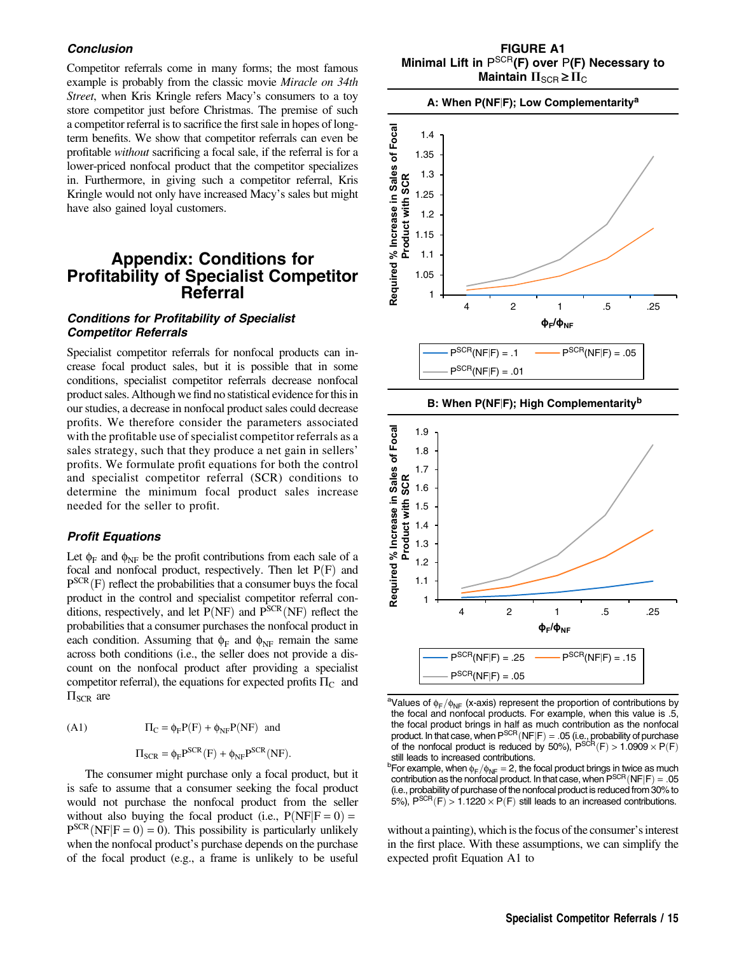#### Conclusion

Competitor referrals come in many forms; the most famous example is probably from the classic movie Miracle on 34th Street, when Kris Kringle refers Macy's consumers to a toy store competitor just before Christmas. The premise of such a competitor referral is to sacrifice the first sale in hopes of longterm benefits. We show that competitor referrals can even be profitable without sacrificing a focal sale, if the referral is for a lower-priced nonfocal product that the competitor specializes in. Furthermore, in giving such a competitor referral, Kris Kringle would not only have increased Macy's sales but might have also gained loyal customers.

# Appendix: Conditions for Profitability of Specialist Competitor Referral

#### Conditions for Profitability of Specialist Competitor Referrals

Specialist competitor referrals for nonfocal products can increase focal product sales, but it is possible that in some conditions, specialist competitor referrals decrease nonfocal product sales. Although we find no statistical evidence for this in our studies, a decrease in nonfocal product sales could decrease profits. We therefore consider the parameters associated with the profitable use of specialist competitor referrals as a sales strategy, such that they produce a net gain in sellers' profits. We formulate profit equations for both the control and specialist competitor referral (SCR) conditions to determine the minimum focal product sales increase needed for the seller to profit.

#### Profit Equations

Let  $\phi_F$  and  $\phi_{NF}$  be the profit contributions from each sale of a focal and nonfocal product, respectively. Then let  $P(F)$  and  $P<sup>SCR</sup>(F)$  reflect the probabilities that a consumer buys the focal product in the control and specialist competitor referral conditions, respectively, and let  $\overline{P(NF)}$  and  $\overline{P^{SCR}(NF)}$  reflect the probabilities that a consumer purchases the nonfocal product in each condition. Assuming that  $\phi_F$  and  $\phi_{NF}$  remain the same across both conditions (i.e., the seller does not provide a discount on the nonfocal product after providing a specialist competitor referral), the equations for expected profits  $\Pi_{\rm C}$  and  $\Pi_{SCR}$  are

(A1) 
$$
\Pi_C = \phi_F P(F) + \phi_{NF} P(NF) \text{ and}
$$

$$
\Pi_{SCR} = \phi_F P^{SCR}(F) + \phi_{NF} P^{SCR}(NF).
$$

The consumer might purchase only a focal product, but it is safe to assume that a consumer seeking the focal product would not purchase the nonfocal product from the seller without also buying the focal product (i.e.,  $P(NF|F = 0) =$  $P<sup>SCR</sup>(NF|F = 0) = 0$ . This possibility is particularly unlikely when the nonfocal product's purchase depends on the purchase of the focal product (e.g., a frame is unlikely to be useful

FIGURE A1 Minimal Lift in  $P^{SCR}(F)$  over  $P(F)$  Necessary to Maintain  $\Pi_{\text{SCR}} \geq \Pi_{\text{C}}$ 



 $P^{SCR}(NF|F) = .25$   $\longrightarrow P^{SCR}(NF|F) = .15$  $P^{SCR}(NF|F) = .05$ 

<sup>a</sup>Values of  $\phi_F/\phi_{\sf NF}$  (x-axis) represent the proportion of contributions by the focal and nonfocal products. For example, when this value is .5, the focal product brings in half as much contribution as the nonfocal product. In that case, when  $P^{SCR}({\sf NF}|{\sf F}) = .05$  (i.e., probability of purchase of the nonfocal product is reduced by 50%),  $P^{SCR}(F) > 1.0909 \times P(F)$ still leads to increased contributions.

<sup>b</sup>For example, when  $\phi_F/\phi_{NF} = 2$ , the focal product brings in twice as much contribution as the nonfocal product. In that case, when  $P^{SCR}({NF}|F) = .05$ (i.e., probability of purchase of the nonfocal product is reduced from 30% to 5%),  $P^{SCR}(F) > 1.1220 \times P(F)$  still leads to an increased contributions.

without a painting), which is the focus of the consumer's interest in the first place. With these assumptions, we can simplify the expected profit Equation A1 to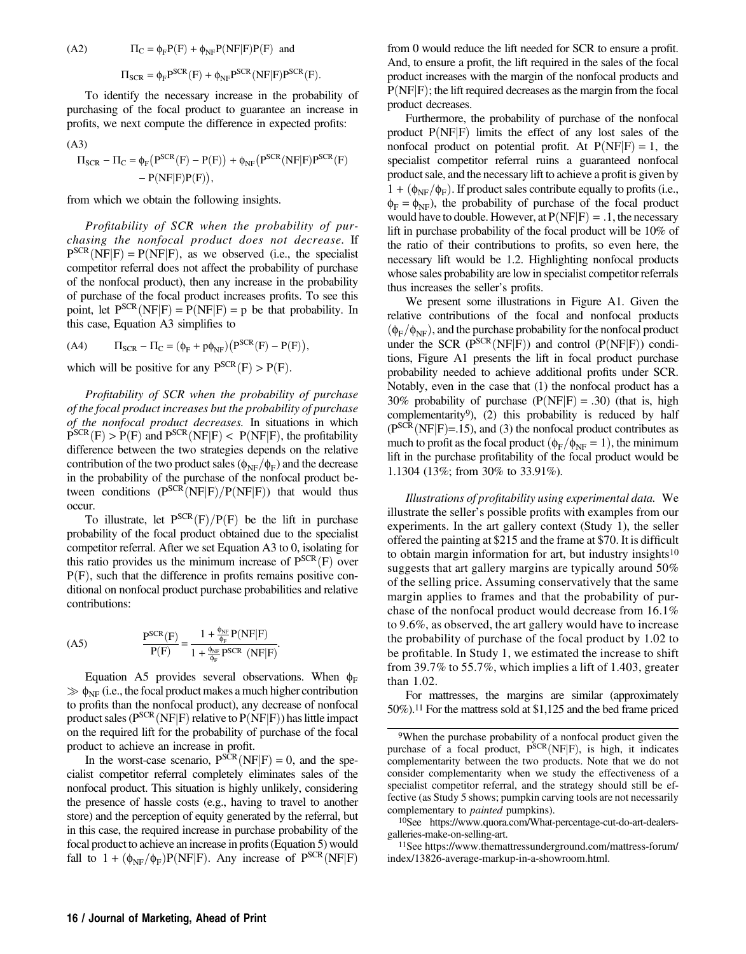$$
\Pi_{SCR} = \varphi_F P^{SCR}(F) + \varphi_{NF} P^{SCR}(NF|F) P^{SCR}(F).
$$

To identify the necessary increase in the probability of purchasing of the focal product to guarantee an increase in profits, we next compute the difference in expected profits:

$$
(A3)
$$

$$
\Pi_{SCR} - \Pi_C = \phi_F \left( P^{SCR}(F) - P(F) \right) + \phi_{NF} \left( P^{SCR}(NF|F) P^{SCR}(F) - P(NF|F)P(F) \right),\
$$

from which we obtain the following insights.

Profitability of SCR when the probability of purchasing the nonfocal product does not decrease. If  $P<sup>SCR</sup>(NF|F) = P(NF|F)$ , as we observed (i.e., the specialist competitor referral does not affect the probability of purchase of the nonfocal product), then any increase in the probability of purchase of the focal product increases profits. To see this point, let  $P^{SCR}(NF|F) = P(NF|F) = p$  be that probability. In this case, Equation A3 simplifies to

$$
(A4) \t \Pi_{SCR} - \Pi_C = (\phi_F + p\phi_{NF}) (P^{SCR}(F) - P(F)),
$$

which will be positive for any  $P^{SCR}(F) > P(F)$ .

Profitability of SCR when the probability of purchase of the focal product increases but the probability of purchase of the nonfocal product decreases. In situations in which  $P<sup>SCR</sup>(F) > P(F)$  and  $P<sup>SCR</sup>(NF|F) < P(NF|F)$ , the profitability difference between the two strategies depends on the relative contribution of the two product sales ( $(\phi_{NF}/\phi_F)$ ) and the decrease in the probability of the purchase of the nonfocal product between conditions  $(P^{SCR}(NF|F)/P(NF|F))$  that would thus occur.

To illustrate, let  $P<sup>SCR</sup>(F)/P(F)$  be the lift in purchase probability of the focal product obtained due to the specialist competitor referral. After we set Equation A3 to 0, isolating for this ratio provides us the minimum increase of  $P^{SCR}(F)$  over  $P(F)$ , such that the difference in profits remains positive conditional on nonfocal product purchase probabilities and relative contributions:

$$
\text{(A5)} \qquad \qquad \frac{\text{pSCR}(F)}{P(F)} = \frac{1 + \frac{\phi_{\text{NF}}}{\phi_F} P(\text{NF}|F)}{1 + \frac{\phi_{\text{NF}}}{\phi_F} \text{pSCR} \quad (\text{NF}|F)}.
$$

Equation A5 provides several observations. When  $\phi_F$  $\gg \phi_{\rm NF}$  (i.e., the focal product makes a much higher contribution to profits than the nonfocal product), any decrease of nonfocal product sales ( $P<sup>SCR</sup>(NF|F)$  relative to  $P(NF|F)$ ) has little impact on the required lift for the probability of purchase of the focal product to achieve an increase in profit.

In the worst-case scenario,  $P^{SCR}(NF|F) = 0$ , and the specialist competitor referral completely eliminates sales of the nonfocal product. This situation is highly unlikely, considering the presence of hassle costs (e.g., having to travel to another store) and the perception of equity generated by the referral, but in this case, the required increase in purchase probability of the focal product to achieve an increase in profits (Equation 5) would fall to  $1 + (\phi_{NF}/\phi_F)P(NF|F)$ . Any increase of  $P^{SCR}(NF|F)$ 

from 0 would reduce the lift needed for SCR to ensure a profit. And, to ensure a profit, the lift required in the sales of the focal product increases with the margin of the nonfocal products and  $P(NF|F)$ ; the lift required decreases as the margin from the focal product decreases.

Furthermore, the probability of purchase of the nonfocal product  $P(NF|F)$  limits the effect of any lost sales of the nonfocal product on potential profit. At  $P(NF|F) = 1$ , the specialist competitor referral ruins a guaranteed nonfocal product sale, and the necessary lift to achieve a profit is given by  $1 + (\phi_{\text{NF}}/\phi_F)$ . If product sales contribute equally to profits (i.e.,  $\phi_F = \phi_{NF}$ ), the probability of purchase of the focal product would have to double. However, at  $P(NF|F) = .1$ , the necessary lift in purchase probability of the focal product will be 10% of the ratio of their contributions to profits, so even here, the necessary lift would be 1.2. Highlighting nonfocal products whose sales probability are low in specialist competitor referrals thus increases the seller's profits.

We present some illustrations in Figure A1. Given the relative contributions of the focal and nonfocal products  $(\phi_F/\phi_{NF})$ , and the purchase probability for the nonfocal product under the SCR ( $P^{SCR}(NF|F)$ ) and control ( $P(NF|F)$ ) conditions, Figure A1 presents the lift in focal product purchase probability needed to achieve additional profits under SCR. Notably, even in the case that (1) the nonfocal product has a 30% probability of purchase  $(P(NF|F) = .30)$  (that is, high complementarity $9$ , (2) this probability is reduced by half  $(P<sup>SCR</sup>(NF|F)=.15)$ , and (3) the nonfocal product contributes as much to profit as the focal product  $(\phi_{\rm F}/\phi_{\rm NF} = 1)$ , the minimum lift in the purchase profitability of the focal product would be 1.1304 (13%; from 30% to 33.91%).

Illustrations of profitability using experimental data. We illustrate the seller's possible profits with examples from our experiments. In the art gallery context (Study 1), the seller offered the painting at \$215 and the frame at \$70. It is difficult to obtain margin information for art, but industry insights $10$ suggests that art gallery margins are typically around 50% of the selling price. Assuming conservatively that the same margin applies to frames and that the probability of purchase of the nonfocal product would decrease from 16.1% to 9.6%, as observed, the art gallery would have to increase the probability of purchase of the focal product by 1.02 to be profitable. In Study 1, we estimated the increase to shift from 39.7% to 55.7%, which implies a lift of 1.403, greater than 1.02.

For mattresses, the margins are similar (approximately 50%).11 For the mattress sold at \$1,125 and the bed frame priced

10See [https://www.quora.com/What-percentage-cut-do-art-dealers](https://www.quora.com/What-percentage-cut-do-art-dealers-galleries-make-on-selling-art)[galleries-make-on-selling-art.](https://www.quora.com/What-percentage-cut-do-art-dealers-galleries-make-on-selling-art)

11See [https://www.themattressunderground.com/mattress-forum/](https://www.themattressunderground.com/mattress-forum/index/13826-average-markup-in-a-showroom.html) [index/13826-average-markup-in-a-showroom.html.](https://www.themattressunderground.com/mattress-forum/index/13826-average-markup-in-a-showroom.html)

<sup>9</sup>When the purchase probability of a nonfocal product given the purchase of a focal product,  $P^{SCR}(NF|F)$ , is high, it indicates complementarity between the two products. Note that we do not consider complementarity when we study the effectiveness of a specialist competitor referral, and the strategy should still be effective (as Study 5 shows; pumpkin carving tools are not necessarily complementary to *painted* pumpkins).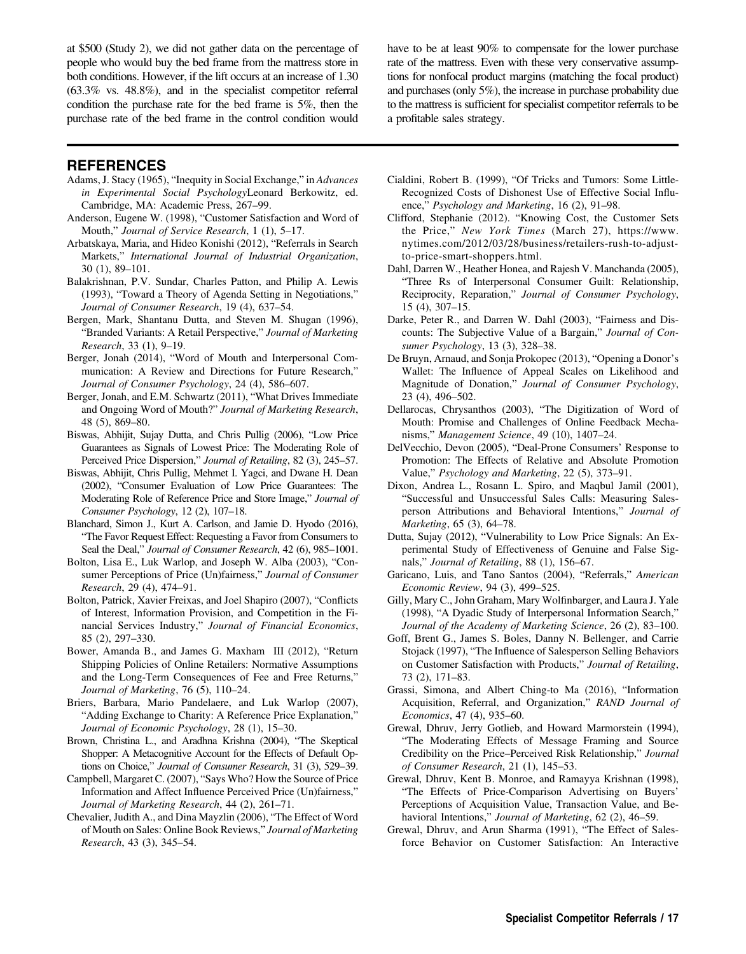at \$500 (Study 2), we did not gather data on the percentage of people who would buy the bed frame from the mattress store in both conditions. However, if the lift occurs at an increase of 1.30 (63.3% vs. 48.8%), and in the specialist competitor referral condition the purchase rate for the bed frame is 5%, then the purchase rate of the bed frame in the control condition would

## **REFERENCES**

- Adams, J. Stacy (1965), "Inequity in Social Exchange," in Advances in Experimental Social PsychologyLeonard Berkowitz, ed. Cambridge, MA: Academic Press, 267–99.
- Anderson, Eugene W. (1998), "Customer Satisfaction and Word of Mouth," Journal of Service Research, 1 (1), 5–17.
- Arbatskaya, Maria, and Hideo Konishi (2012), "Referrals in Search Markets," International Journal of Industrial Organization, 30 (1), 89–101.
- Balakrishnan, P.V. Sundar, Charles Patton, and Philip A. Lewis (1993), "Toward a Theory of Agenda Setting in Negotiations," Journal of Consumer Research, 19 (4), 637–54.
- Bergen, Mark, Shantanu Dutta, and Steven M. Shugan (1996), "Branded Variants: A Retail Perspective," Journal of Marketing Research, 33 (1), 9–19.
- Berger, Jonah (2014), "Word of Mouth and Interpersonal Communication: A Review and Directions for Future Research," Journal of Consumer Psychology, 24 (4), 586–607.
- Berger, Jonah, and E.M. Schwartz (2011), "What Drives Immediate and Ongoing Word of Mouth?" Journal of Marketing Research, 48 (5), 869–80.
- Biswas, Abhijit, Sujay Dutta, and Chris Pullig (2006), "Low Price Guarantees as Signals of Lowest Price: The Moderating Role of Perceived Price Dispersion," Journal of Retailing, 82 (3), 245–57.
- Biswas, Abhijit, Chris Pullig, Mehmet I. Yagci, and Dwane H. Dean (2002), "Consumer Evaluation of Low Price Guarantees: The Moderating Role of Reference Price and Store Image," Journal of Consumer Psychology, 12 (2), 107–18.
- Blanchard, Simon J., Kurt A. Carlson, and Jamie D. Hyodo (2016), "The Favor Request Effect: Requesting a Favor from Consumers to Seal the Deal," Journal of Consumer Research, 42 (6), 985-1001.
- Bolton, Lisa E., Luk Warlop, and Joseph W. Alba (2003), "Consumer Perceptions of Price (Un)fairness," Journal of Consumer Research, 29 (4), 474–91.
- Bolton, Patrick, Xavier Freixas, and Joel Shapiro (2007), "Conflicts of Interest, Information Provision, and Competition in the Financial Services Industry," Journal of Financial Economics, 85 (2), 297–330.
- Bower, Amanda B., and James G. Maxham III (2012), "Return Shipping Policies of Online Retailers: Normative Assumptions and the Long-Term Consequences of Fee and Free Returns," Journal of Marketing, 76 (5), 110–24.
- Briers, Barbara, Mario Pandelaere, and Luk Warlop (2007), "Adding Exchange to Charity: A Reference Price Explanation," Journal of Economic Psychology, 28 (1), 15–30.
- Brown, Christina L., and Aradhna Krishna (2004), "The Skeptical Shopper: A Metacognitive Account for the Effects of Default Options on Choice," Journal of Consumer Research, 31 (3), 529–39.
- Campbell, Margaret C. (2007), "Says Who? How the Source of Price Information and Affect Influence Perceived Price (Un)fairness," Journal of Marketing Research, 44 (2), 261–71.
- Chevalier, Judith A., and Dina Mayzlin (2006), "The Effect of Word of Mouth on Sales: Online Book Reviews," Journal of Marketing Research, 43 (3), 345–54.

have to be at least 90% to compensate for the lower purchase rate of the mattress. Even with these very conservative assumptions for nonfocal product margins (matching the focal product) and purchases (only 5%), the increase in purchase probability due to the mattress is sufficient for specialist competitor referrals to be a profitable sales strategy.

- Cialdini, Robert B. (1999), "Of Tricks and Tumors: Some Little-Recognized Costs of Dishonest Use of Effective Social Influence," Psychology and Marketing, 16 (2), 91-98.
- Clifford, Stephanie (2012). "Knowing Cost, the Customer Sets the Price," New York Times (March 27), [https://www.](https://www.nytimes.com/2012/03/28/business/retailers-rush-to-adjust-to-price-smart-shoppers.html) [nytimes.com/2012/03/28/business/retailers-rush-to-adjust](https://www.nytimes.com/2012/03/28/business/retailers-rush-to-adjust-to-price-smart-shoppers.html)[to-price-smart-shoppers.html.](https://www.nytimes.com/2012/03/28/business/retailers-rush-to-adjust-to-price-smart-shoppers.html)
- Dahl, Darren W., Heather Honea, and Rajesh V. Manchanda (2005), "Three Rs of Interpersonal Consumer Guilt: Relationship, Reciprocity, Reparation," Journal of Consumer Psychology, 15 (4), 307–15.
- Darke, Peter R., and Darren W. Dahl (2003), "Fairness and Discounts: The Subjective Value of a Bargain," Journal of Consumer Psychology, 13 (3), 328–38.
- De Bruyn, Arnaud, and Sonja Prokopec (2013), "Opening a Donor's Wallet: The Influence of Appeal Scales on Likelihood and Magnitude of Donation," Journal of Consumer Psychology, 23 (4), 496–502.
- Dellarocas, Chrysanthos (2003), "The Digitization of Word of Mouth: Promise and Challenges of Online Feedback Mechanisms," Management Science, 49 (10), 1407–24.
- DelVecchio, Devon (2005), "Deal-Prone Consumers' Response to Promotion: The Effects of Relative and Absolute Promotion Value," Psychology and Marketing, 22 (5), 373–91.
- Dixon, Andrea L., Rosann L. Spiro, and Maqbul Jamil (2001), "Successful and Unsuccessful Sales Calls: Measuring Salesperson Attributions and Behavioral Intentions," Journal of Marketing, 65 (3), 64–78.
- Dutta, Sujay (2012), "Vulnerability to Low Price Signals: An Experimental Study of Effectiveness of Genuine and False Signals," Journal of Retailing, 88 (1), 156–67.
- Garicano, Luis, and Tano Santos (2004), "Referrals," American Economic Review, 94 (3), 499–525.
- Gilly, Mary C., John Graham, Mary Wolfinbarger, and Laura J. Yale (1998), "A Dyadic Study of Interpersonal Information Search," Journal of the Academy of Marketing Science, 26 (2), 83–100.
- Goff, Brent G., James S. Boles, Danny N. Bellenger, and Carrie Stojack (1997), "The Influence of Salesperson Selling Behaviors on Customer Satisfaction with Products," Journal of Retailing, 73 (2), 171–83.
- Grassi, Simona, and Albert Ching-to Ma (2016), "Information Acquisition, Referral, and Organization," RAND Journal of Economics, 47 (4), 935–60.
- Grewal, Dhruv, Jerry Gotlieb, and Howard Marmorstein (1994), "The Moderating Effects of Message Framing and Source Credibility on the Price–Perceived Risk Relationship," Journal of Consumer Research, 21 (1), 145–53.
- Grewal, Dhruv, Kent B. Monroe, and Ramayya Krishnan (1998), "The Effects of Price-Comparison Advertising on Buyers' Perceptions of Acquisition Value, Transaction Value, and Behavioral Intentions," Journal of Marketing, 62 (2), 46–59.
- Grewal, Dhruv, and Arun Sharma (1991), "The Effect of Salesforce Behavior on Customer Satisfaction: An Interactive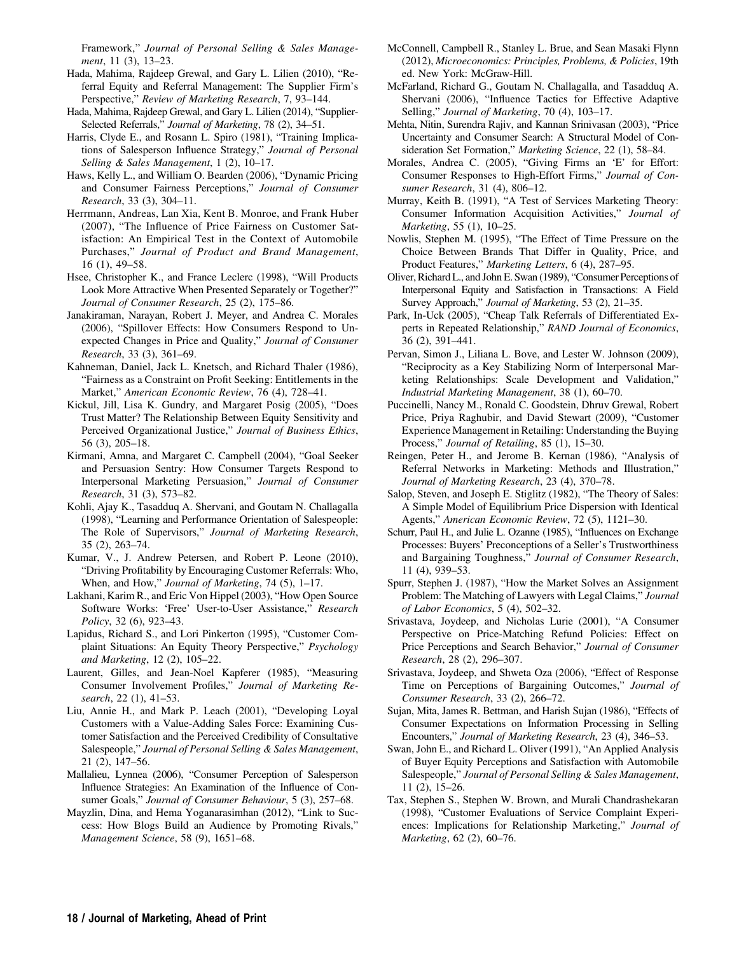Framework," Journal of Personal Selling & Sales Management, 11 (3), 13–23.

- Hada, Mahima, Rajdeep Grewal, and Gary L. Lilien (2010), "Referral Equity and Referral Management: The Supplier Firm's Perspective," Review of Marketing Research, 7, 93–144.
- Hada, Mahima, Rajdeep Grewal, and Gary L. Lilien (2014), "Supplier-Selected Referrals," Journal of Marketing, 78 (2), 34–51.
- Harris, Clyde E., and Rosann L. Spiro (1981), "Training Implications of Salesperson Influence Strategy," Journal of Personal Selling & Sales Management, 1 (2), 10–17.
- Haws, Kelly L., and William O. Bearden (2006), "Dynamic Pricing and Consumer Fairness Perceptions," Journal of Consumer Research, 33 (3), 304–11.
- Herrmann, Andreas, Lan Xia, Kent B. Monroe, and Frank Huber (2007), "The Influence of Price Fairness on Customer Satisfaction: An Empirical Test in the Context of Automobile Purchases," Journal of Product and Brand Management, 16 (1), 49–58.
- Hsee, Christopher K., and France Leclerc (1998), "Will Products Look More Attractive When Presented Separately or Together?" Journal of Consumer Research, 25 (2), 175–86.
- Janakiraman, Narayan, Robert J. Meyer, and Andrea C. Morales (2006), "Spillover Effects: How Consumers Respond to Unexpected Changes in Price and Quality," Journal of Consumer Research, 33 (3), 361–69.
- Kahneman, Daniel, Jack L. Knetsch, and Richard Thaler (1986), "Fairness as a Constraint on Profit Seeking: Entitlements in the Market," American Economic Review, 76 (4), 728–41.
- Kickul, Jill, Lisa K. Gundry, and Margaret Posig (2005), "Does Trust Matter? The Relationship Between Equity Sensitivity and Perceived Organizational Justice," Journal of Business Ethics, 56 (3), 205–18.
- Kirmani, Amna, and Margaret C. Campbell (2004), "Goal Seeker and Persuasion Sentry: How Consumer Targets Respond to Interpersonal Marketing Persuasion," Journal of Consumer Research, 31 (3), 573–82.
- Kohli, Ajay K., Tasadduq A. Shervani, and Goutam N. Challagalla (1998), "Learning and Performance Orientation of Salespeople: The Role of Supervisors," Journal of Marketing Research, 35 (2), 263–74.
- Kumar, V., J. Andrew Petersen, and Robert P. Leone (2010), "Driving Profitability by Encouraging Customer Referrals: Who, When, and How," Journal of Marketing, 74 (5), 1-17.
- Lakhani, Karim R., and Eric Von Hippel (2003), "How Open Source Software Works: 'Free' User-to-User Assistance," Research Policy, 32 (6), 923–43.
- Lapidus, Richard S., and Lori Pinkerton (1995), "Customer Complaint Situations: An Equity Theory Perspective," Psychology and Marketing, 12 (2), 105–22.
- Laurent, Gilles, and Jean-Noel Kapferer (1985), "Measuring Consumer Involvement Profiles," Journal of Marketing Research, 22 (1), 41–53.
- Liu, Annie H., and Mark P. Leach (2001), "Developing Loyal Customers with a Value-Adding Sales Force: Examining Customer Satisfaction and the Perceived Credibility of Consultative Salespeople," Journal of Personal Selling & Sales Management, 21 (2), 147–56.
- Mallalieu, Lynnea (2006), "Consumer Perception of Salesperson Influence Strategies: An Examination of the Influence of Consumer Goals," Journal of Consumer Behaviour, 5 (3), 257–68.
- Mayzlin, Dina, and Hema Yoganarasimhan (2012), "Link to Success: How Blogs Build an Audience by Promoting Rivals," Management Science, 58 (9), 1651–68.
- McConnell, Campbell R., Stanley L. Brue, and Sean Masaki Flynn (2012), Microeconomics: Principles, Problems, & Policies, 19th ed. New York: McGraw-Hill.
- McFarland, Richard G., Goutam N. Challagalla, and Tasadduq A. Shervani (2006), "Influence Tactics for Effective Adaptive Selling," Journal of Marketing, 70 (4), 103–17.
- Mehta, Nitin, Surendra Rajiv, and Kannan Srinivasan (2003), "Price Uncertainty and Consumer Search: A Structural Model of Consideration Set Formation," Marketing Science, 22 (1), 58-84.
- Morales, Andrea C. (2005), "Giving Firms an 'E' for Effort: Consumer Responses to High-Effort Firms," Journal of Consumer Research, 31 (4), 806–12.
- Murray, Keith B. (1991), "A Test of Services Marketing Theory: Consumer Information Acquisition Activities," Journal of Marketing, 55 (1), 10–25.
- Nowlis, Stephen M. (1995), "The Effect of Time Pressure on the Choice Between Brands That Differ in Quality, Price, and Product Features," Marketing Letters, 6 (4), 287–95.
- Oliver, Richard L., and John E. Swan (1989), "Consumer Perceptions of Interpersonal Equity and Satisfaction in Transactions: A Field Survey Approach," Journal of Marketing, 53 (2), 21–35.
- Park, In-Uck (2005), "Cheap Talk Referrals of Differentiated Experts in Repeated Relationship," RAND Journal of Economics, 36 (2), 391–441.
- Pervan, Simon J., Liliana L. Bove, and Lester W. Johnson (2009), "Reciprocity as a Key Stabilizing Norm of Interpersonal Marketing Relationships: Scale Development and Validation," Industrial Marketing Management, 38 (1), 60–70.
- Puccinelli, Nancy M., Ronald C. Goodstein, Dhruv Grewal, Robert Price, Priya Raghubir, and David Stewart (2009), "Customer Experience Management in Retailing: Understanding the Buying Process," Journal of Retailing, 85 (1), 15–30.
- Reingen, Peter H., and Jerome B. Kernan (1986), "Analysis of Referral Networks in Marketing: Methods and Illustration," Journal of Marketing Research, 23 (4), 370–78.
- Salop, Steven, and Joseph E. Stiglitz (1982), "The Theory of Sales: A Simple Model of Equilibrium Price Dispersion with Identical Agents," American Economic Review, 72 (5), 1121–30.
- Schurr, Paul H., and Julie L. Ozanne (1985), "Influences on Exchange Processes: Buyers' Preconceptions of a Seller's Trustworthiness and Bargaining Toughness," Journal of Consumer Research, 11 (4), 939–53.
- Spurr, Stephen J. (1987), "How the Market Solves an Assignment Problem: The Matching of Lawyers with Legal Claims," Journal of Labor Economics, 5 (4), 502–32.
- Srivastava, Joydeep, and Nicholas Lurie (2001), "A Consumer Perspective on Price-Matching Refund Policies: Effect on Price Perceptions and Search Behavior," Journal of Consumer Research, 28 (2), 296–307.
- Srivastava, Joydeep, and Shweta Oza (2006), "Effect of Response Time on Perceptions of Bargaining Outcomes," Journal of Consumer Research, 33 (2), 266–72.
- Sujan, Mita, James R. Bettman, and Harish Sujan (1986), "Effects of Consumer Expectations on Information Processing in Selling Encounters," Journal of Marketing Research, 23 (4), 346–53.
- Swan, John E., and Richard L. Oliver (1991), "An Applied Analysis of Buyer Equity Perceptions and Satisfaction with Automobile Salespeople," Journal of Personal Selling & Sales Management, 11 (2), 15–26.
- Tax, Stephen S., Stephen W. Brown, and Murali Chandrashekaran (1998), "Customer Evaluations of Service Complaint Experiences: Implications for Relationship Marketing," Journal of Marketing, 62 (2), 60–76.